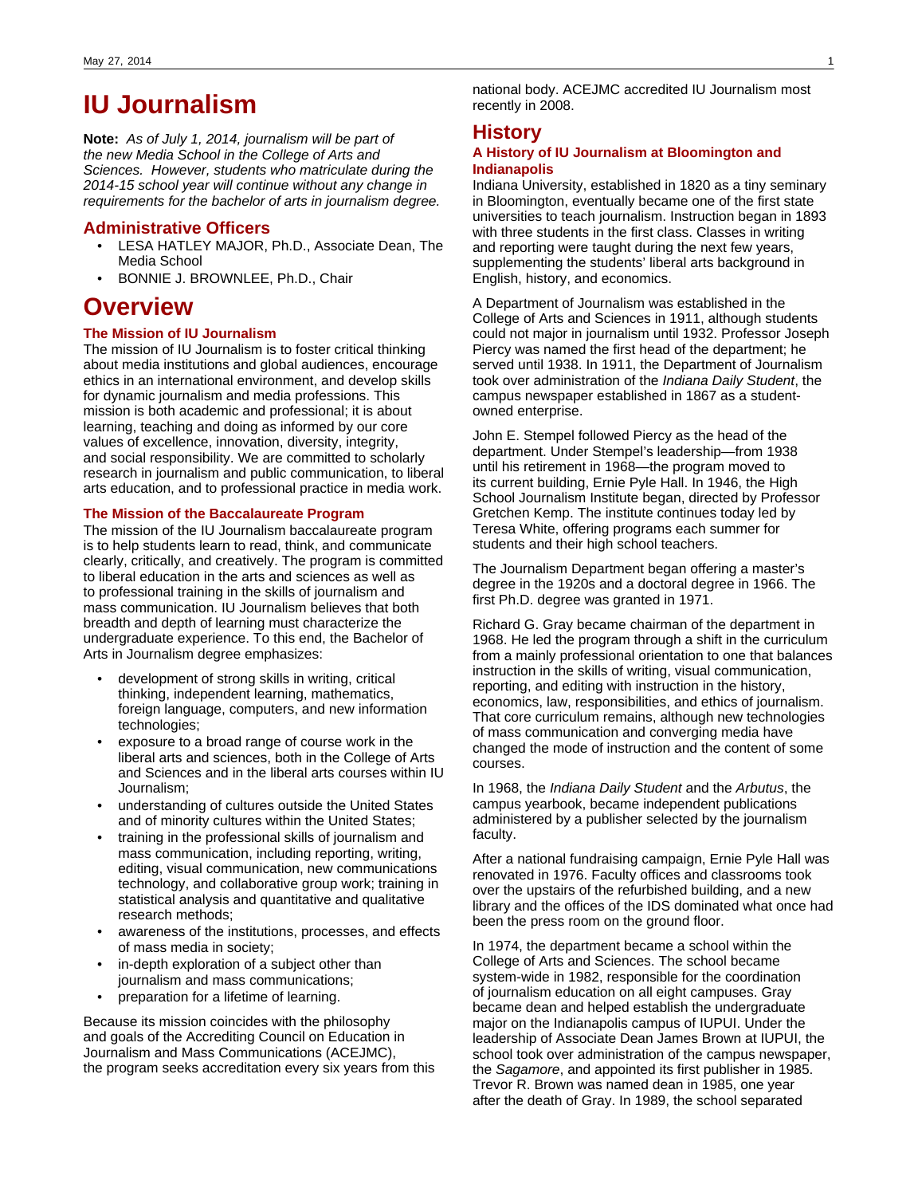# **IU Journalism**

**Note:** As of July 1, 2014, journalism will be part of the new Media School in the College of Arts and Sciences. However, students who matriculate during the 2014-15 school year will continue without any change in requirements for the bachelor of arts in journalism degree.

### **Administrative Officers**

- LESA HATLEY MAJOR, Ph.D., Associate Dean, The Media School
- BONNIE J. BROWNLEE, Ph.D., Chair

# **Overview**

### **The Mission of IU Journalism**

The mission of IU Journalism is to foster critical thinking about media institutions and global audiences, encourage ethics in an international environment, and develop skills for dynamic journalism and media professions. This mission is both academic and professional; it is about learning, teaching and doing as informed by our core values of excellence, innovation, diversity, integrity, and social responsibility. We are committed to scholarly research in journalism and public communication, to liberal arts education, and to professional practice in media work.

## **The Mission of the Baccalaureate Program**

The mission of the IU Journalism baccalaureate program is to help students learn to read, think, and communicate clearly, critically, and creatively. The program is committed to liberal education in the arts and sciences as well as to professional training in the skills of journalism and mass communication. IU Journalism believes that both breadth and depth of learning must characterize the undergraduate experience. To this end, the Bachelor of Arts in Journalism degree emphasizes:

- development of strong skills in writing, critical thinking, independent learning, mathematics, foreign language, computers, and new information technologies;
- exposure to a broad range of course work in the liberal arts and sciences, both in the College of Arts and Sciences and in the liberal arts courses within IU Journalism;
- understanding of cultures outside the United States and of minority cultures within the United States;
- training in the professional skills of journalism and mass communication, including reporting, writing, editing, visual communication, new communications technology, and collaborative group work; training in statistical analysis and quantitative and qualitative research methods;
- awareness of the institutions, processes, and effects of mass media in society;
- in-depth exploration of a subject other than journalism and mass communications;
- preparation for a lifetime of learning.

Because its mission coincides with the philosophy and goals of the Accrediting Council on Education in Journalism and Mass Communications (ACEJMC), the program seeks accreditation every six years from this national body. ACEJMC accredited IU Journalism most recently in 2008.

## **History**

### **A History of IU Journalism at Bloomington and Indianapolis**

Indiana University, established in 1820 as a tiny seminary in Bloomington, eventually became one of the first state universities to teach journalism. Instruction began in 1893 with three students in the first class. Classes in writing and reporting were taught during the next few years, supplementing the students' liberal arts background in English, history, and economics.

A Department of Journalism was established in the College of Arts and Sciences in 1911, although students could not major in journalism until 1932. Professor Joseph Piercy was named the first head of the department; he served until 1938. In 1911, the Department of Journalism took over administration of the Indiana Daily Student, the campus newspaper established in 1867 as a studentowned enterprise.

John E. Stempel followed Piercy as the head of the department. Under Stempel's leadership—from 1938 until his retirement in 1968—the program moved to its current building, Ernie Pyle Hall. In 1946, the High School Journalism Institute began, directed by Professor Gretchen Kemp. The institute continues today led by Teresa White, offering programs each summer for students and their high school teachers.

The Journalism Department began offering a master's degree in the 1920s and a doctoral degree in 1966. The first Ph.D. degree was granted in 1971.

Richard G. Gray became chairman of the department in 1968. He led the program through a shift in the curriculum from a mainly professional orientation to one that balances instruction in the skills of writing, visual communication, reporting, and editing with instruction in the history, economics, law, responsibilities, and ethics of journalism. That core curriculum remains, although new technologies of mass communication and converging media have changed the mode of instruction and the content of some courses.

In 1968, the Indiana Daily Student and the Arbutus, the campus yearbook, became independent publications administered by a publisher selected by the journalism faculty.

After a national fundraising campaign, Ernie Pyle Hall was renovated in 1976. Faculty offices and classrooms took over the upstairs of the refurbished building, and a new library and the offices of the IDS dominated what once had been the press room on the ground floor.

In 1974, the department became a school within the College of Arts and Sciences. The school became system-wide in 1982, responsible for the coordination of journalism education on all eight campuses. Gray became dean and helped establish the undergraduate major on the Indianapolis campus of IUPUI. Under the leadership of Associate Dean James Brown at IUPUI, the school took over administration of the campus newspaper, the Sagamore, and appointed its first publisher in 1985. Trevor R. Brown was named dean in 1985, one year after the death of Gray. In 1989, the school separated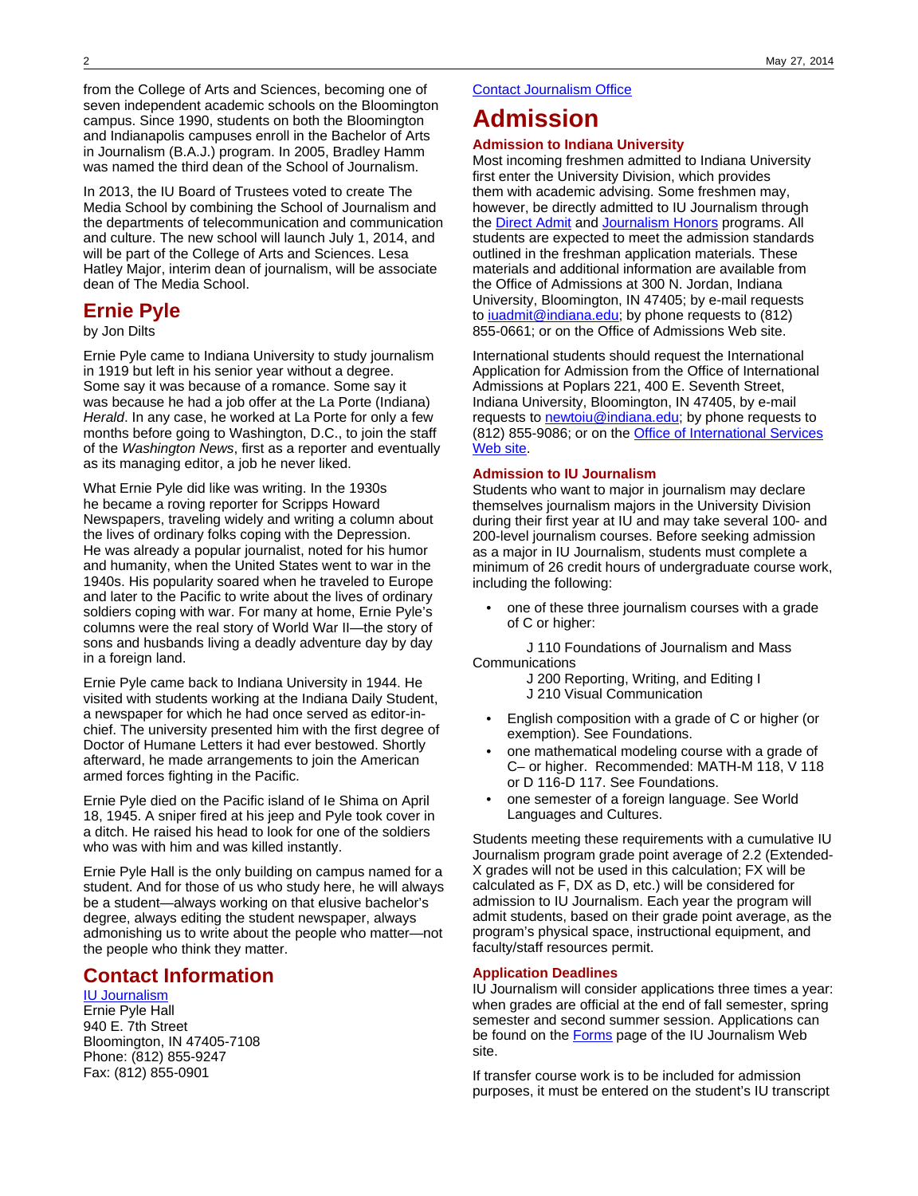from the College of Arts and Sciences, becoming one of seven independent academic schools on the Bloomington campus. Since 1990, students on both the Bloomington and Indianapolis campuses enroll in the Bachelor of Arts in Journalism (B.A.J.) program. In 2005, Bradley Hamm was named the third dean of the School of Journalism.

In 2013, the IU Board of Trustees voted to create The Media School by combining the School of Journalism and the departments of telecommunication and communication and culture. The new school will launch July 1, 2014, and will be part of the College of Arts and Sciences. Lesa Hatley Major, interim dean of journalism, will be associate dean of The Media School.

# **Ernie Pyle**

by Jon Dilts

Ernie Pyle came to Indiana University to study journalism in 1919 but left in his senior year without a degree. Some say it was because of a romance. Some say it was because he had a job offer at the La Porte (Indiana) Herald. In any case, he worked at La Porte for only a few months before going to Washington, D.C., to join the staff of the Washington News, first as a reporter and eventually as its managing editor, a job he never liked.

What Ernie Pyle did like was writing. In the 1930s he became a roving reporter for Scripps Howard Newspapers, traveling widely and writing a column about the lives of ordinary folks coping with the Depression. He was already a popular journalist, noted for his humor and humanity, when the United States went to war in the 1940s. His popularity soared when he traveled to Europe and later to the Pacific to write about the lives of ordinary soldiers coping with war. For many at home, Ernie Pyle's columns were the real story of World War II—the story of sons and husbands living a deadly adventure day by day in a foreign land.

Ernie Pyle came back to Indiana University in 1944. He visited with students working at the Indiana Daily Student, a newspaper for which he had once served as editor-inchief. The university presented him with the first degree of Doctor of Humane Letters it had ever bestowed. Shortly afterward, he made arrangements to join the American armed forces fighting in the Pacific.

Ernie Pyle died on the Pacific island of Ie Shima on April 18, 1945. A sniper fired at his jeep and Pyle took cover in a ditch. He raised his head to look for one of the soldiers who was with him and was killed instantly.

Ernie Pyle Hall is the only building on campus named for a student. And for those of us who study here, he will always be a student—always working on that elusive bachelor's degree, always editing the student newspaper, always admonishing us to write about the people who matter—not the people who think they matter.

# **Contact Information**

## [IU Journalism](http://journalism.indiana.edu/)

Ernie Pyle Hall 940 E. 7th Street Bloomington, IN 47405-7108 Phone: (812) 855-9247 Fax: (812) 855-0901

### [Contact Journalism Office](mailto:%20lkinzer@indiana.edu)

# **Admission**

### **Admission to Indiana University**

Most incoming freshmen admitted to Indiana University first enter the University Division, which provides them with academic advising. Some freshmen may, however, be directly admitted to IU Journalism through the [Direct Admit](http://journalism.indiana.edu/undergraduate/undergraduate-admissions/requirements/) and [Journalism Honors](http://journalism.indiana.edu/undergraduate/undergraduate-admissions/honors-program-ernie-pyle-scholars/) programs. All students are expected to meet the admission standards outlined in the freshman application materials. These materials and additional information are available from the Office of Admissions at 300 N. Jordan, Indiana University, Bloomington, IN 47405; by e-mail requests to juadmit@indiana.edu; by phone requests to (812) 855-0661; or on the Office of Admissions Web site.

International students should request the International Application for Admission from the Office of International Admissions at Poplars 221, 400 E. Seventh Street, Indiana University, Bloomington, IN 47405, by e-mail requests to [newtoiu@indiana.edu;](mailto:newtoiu@indiana.edu) by phone requests to (812) 855-9086; or on the [Office of International Services](http://ois.iu.edu/admissions/apply/freshmen/) [Web site](http://ois.iu.edu/admissions/apply/freshmen/).

#### **Admission to IU Journalism**

Students who want to major in journalism may declare themselves journalism majors in the University Division during their first year at IU and may take several 100- and 200-level journalism courses. Before seeking admission as a major in IU Journalism, students must complete a minimum of 26 credit hours of undergraduate course work, including the following:

• one of these three journalism courses with a grade of C or higher:

 J 110 Foundations of Journalism and Mass **Communications** 

- J 200 Reporting, Writing, and Editing I
- J 210 Visual Communication
- English composition with a grade of C or higher (or exemption). See Foundations.
- one mathematical modeling course with a grade of C– or higher. Recommended: MATH-M 118, V 118 or D 116-D 117. See Foundations.
- one semester of a foreign language. See World Languages and Cultures.

Students meeting these requirements with a cumulative IU Journalism program grade point average of 2.2 (Extended-X grades will not be used in this calculation; FX will be calculated as F, DX as D, etc.) will be considered for admission to IU Journalism. Each year the program will admit students, based on their grade point average, as the program's physical space, instructional equipment, and faculty/staff resources permit.

### **Application Deadlines**

IU Journalism will consider applications three times a year: when grades are official at the end of fall semester, spring semester and second summer session. Applications can be found on the **Forms** page of the IU Journalism Web site.

If transfer course work is to be included for admission purposes, it must be entered on the student's IU transcript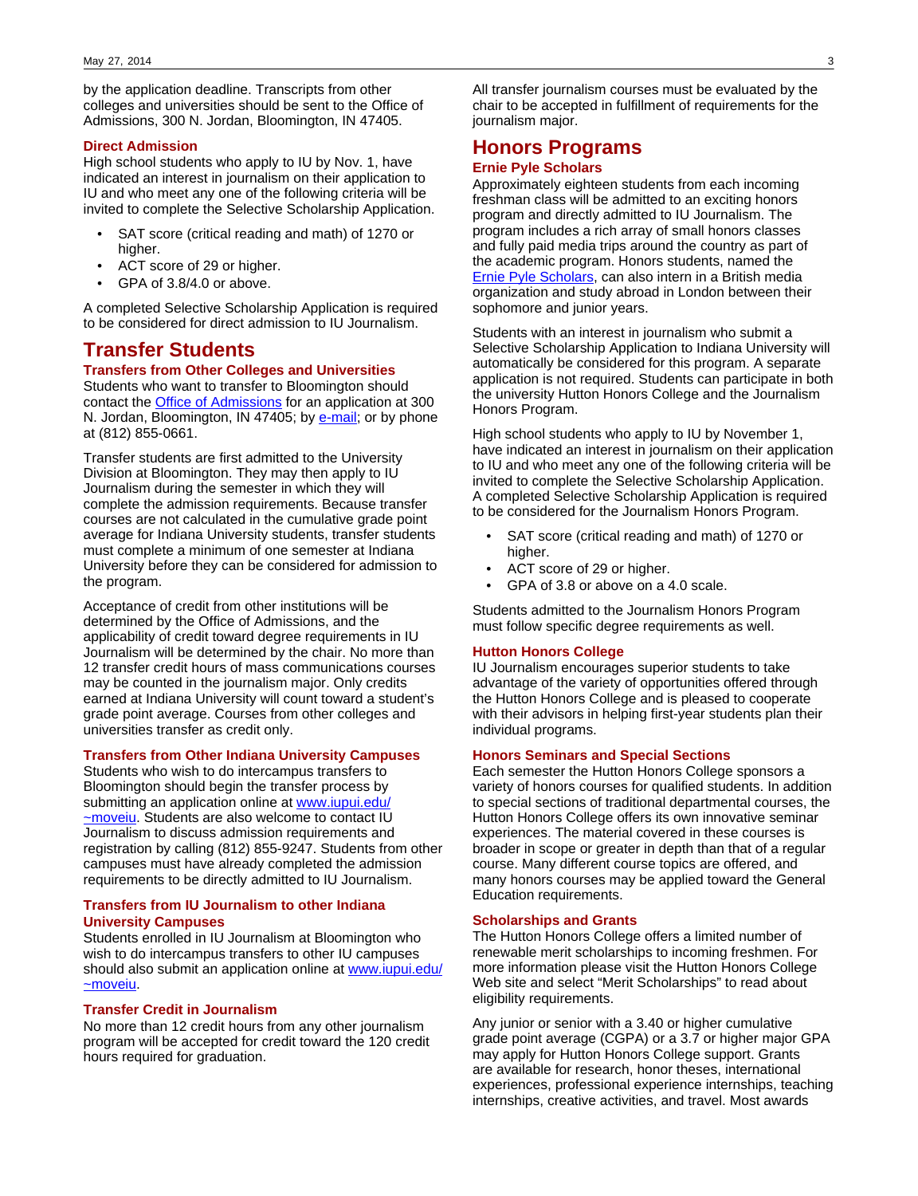by the application deadline. Transcripts from other colleges and universities should be sent to the Office of Admissions, 300 N. Jordan, Bloomington, IN 47405.

#### **Direct Admission**

High school students who apply to IU by Nov. 1, have indicated an interest in journalism on their application to IU and who meet any one of the following criteria will be invited to complete the Selective Scholarship Application.

- SAT score (critical reading and math) of 1270 or higher.
- ACT score of 29 or higher.
- GPA of 3.8/4.0 or above.

A completed Selective Scholarship Application is required to be considered for direct admission to IU Journalism.

## **Transfer Students**

### **Transfers from Other Colleges and Universities**

Students who want to transfer to Bloomington should contact the [Office of Admissions](http://admit.indiana.edu/) for an application at 300 N. Jordan, Bloomington, IN 47405; by [e-mail](mailto:iuadmit@indiana.edu); or by phone at (812) 855-0661.

Transfer students are first admitted to the University Division at Bloomington. They may then apply to IU Journalism during the semester in which they will complete the admission requirements. Because transfer courses are not calculated in the cumulative grade point average for Indiana University students, transfer students must complete a minimum of one semester at Indiana University before they can be considered for admission to the program.

Acceptance of credit from other institutions will be determined by the Office of Admissions, and the applicability of credit toward degree requirements in IU Journalism will be determined by the chair. No more than 12 transfer credit hours of mass communications courses may be counted in the journalism major. Only credits earned at Indiana University will count toward a student's grade point average. Courses from other colleges and universities transfer as credit only.

#### **Transfers from Other Indiana University Campuses**

Students who wish to do intercampus transfers to Bloomington should begin the transfer process by submitting an application online at [www.iupui.edu/](http://www.iupui.edu/~moveiu) [~moveiu](http://www.iupui.edu/~moveiu). Students are also welcome to contact IU Journalism to discuss admission requirements and registration by calling (812) 855-9247. Students from other campuses must have already completed the admission requirements to be directly admitted to IU Journalism.

### **Transfers from IU Journalism to other Indiana University Campuses**

Students enrolled in IU Journalism at Bloomington who wish to do intercampus transfers to other IU campuses should also submit an application online at [www.iupui.edu/](http://www.iupui.edu/~moveiu/) [~moveiu](http://www.iupui.edu/~moveiu/).

### **Transfer Credit in Journalism**

No more than 12 credit hours from any other journalism program will be accepted for credit toward the 120 credit hours required for graduation.

All transfer journalism courses must be evaluated by the chair to be accepted in fulfillment of requirements for the journalism major.

# **Honors Programs**

### **Ernie Pyle Scholars**

Approximately eighteen students from each incoming freshman class will be admitted to an exciting honors program and directly admitted to IU Journalism. The program includes a rich array of small honors classes and fully paid media trips around the country as part of the academic program. Honors students, named the [Ernie Pyle Scholars,](http://journalism.indiana.edu/undergraduate/undergraduate-admissions/honors-program-ernie-pyle-scholars/) can also intern in a British media organization and study abroad in London between their sophomore and junior years.

Students with an interest in journalism who submit a Selective Scholarship Application to Indiana University will automatically be considered for this program. A separate application is not required. Students can participate in both the university Hutton Honors College and the Journalism Honors Program.

High school students who apply to IU by November 1, have indicated an interest in journalism on their application to IU and who meet any one of the following criteria will be invited to complete the Selective Scholarship Application. A completed Selective Scholarship Application is required to be considered for the Journalism Honors Program.

- SAT score (critical reading and math) of 1270 or higher.
- ACT score of 29 or higher.
- GPA of 3.8 or above on a 4.0 scale.

Students admitted to the Journalism Honors Program must follow specific degree requirements as well.

#### **Hutton Honors College**

IU Journalism encourages superior students to take advantage of the variety of opportunities offered through the Hutton Honors College and is pleased to cooperate with their advisors in helping first-year students plan their individual programs.

### **Honors Seminars and Special Sections**

Each semester the Hutton Honors College sponsors a variety of honors courses for qualified students. In addition to special sections of traditional departmental courses, the Hutton Honors College offers its own innovative seminar experiences. The material covered in these courses is broader in scope or greater in depth than that of a regular course. Many different course topics are offered, and many honors courses may be applied toward the General Education requirements.

#### **Scholarships and Grants**

The Hutton Honors College offers a limited number of renewable merit scholarships to incoming freshmen. For more information please visit the Hutton Honors College Web site and select "Merit Scholarships" to read about eligibility requirements.

Any junior or senior with a 3.40 or higher cumulative grade point average (CGPA) or a 3.7 or higher major GPA may apply for Hutton Honors College support. Grants are available for research, honor theses, international experiences, professional experience internships, teaching internships, creative activities, and travel. Most awards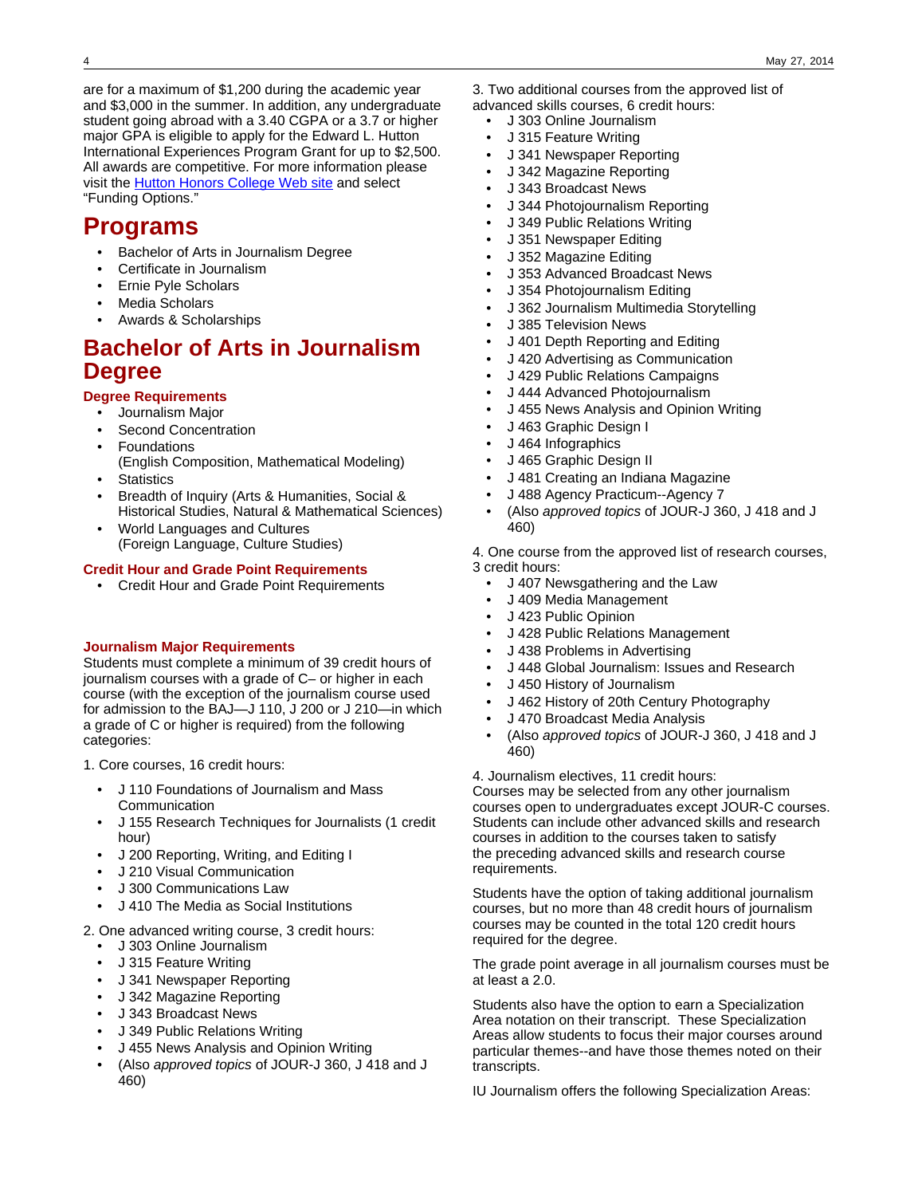are for a maximum of \$1,200 during the academic year and \$3,000 in the summer. In addition, any undergraduate student going abroad with a 3.40 CGPA or a 3.7 or higher major GPA is eligible to apply for the Edward L. Hutton International Experiences Program Grant for up to \$2,500. All awards are competitive. For more information please visit the [Hutton Honors College Web site](http://www.indiana.edu/~iubhonor/) and select "Funding Options."

# **Programs**

- Bachelor of Arts in Journalism Degree
- Certificate in Journalism
- Ernie Pyle Scholars
- Media Scholars
- Awards & Scholarships

# **Bachelor of Arts in Journalism Degree**

## **Degree Requirements**

- Journalism Major
- Second Concentration
- **Foundations**
- (English Composition, Mathematical Modeling) **Statistics**
- Breadth of Inquiry (Arts & Humanities, Social & Historical Studies, Natural & Mathematical Sciences)
- World Languages and Cultures (Foreign Language, Culture Studies)

## **Credit Hour and Grade Point Requirements**

• Credit Hour and Grade Point Requirements

### **Journalism Major Requirements**

Students must complete a minimum of 39 credit hours of journalism courses with a grade of C– or higher in each course (with the exception of the journalism course used for admission to the BAJ—J 110, J 200 or J 210—in which a grade of C or higher is required) from the following categories:

1. Core courses, 16 credit hours:

- J 110 Foundations of Journalism and Mass Communication
- J 155 Research Techniques for Journalists (1 credit hour)
- J 200 Reporting, Writing, and Editing I
- J 210 Visual Communication
- J 300 Communications Law
- J 410 The Media as Social Institutions
- 2. One advanced writing course, 3 credit hours:
	- J 303 Online Journalism
	- J 315 Feature Writing
	- J 341 Newspaper Reporting
	- J 342 Magazine Reporting
	- J 343 Broadcast News
	- J 349 Public Relations Writing
	- J 455 News Analysis and Opinion Writing
	- (Also approved topics of JOUR-J 360, J 418 and J 460)
- 3. Two additional courses from the approved list of
- advanced skills courses, 6 credit hours:
	- J 303 Online Journalism
	- J 315 Feature Writing
	- J 341 Newspaper Reporting
	- J 342 Magazine Reporting
	- J 343 Broadcast News
	- J 344 Photojournalism Reporting
	- J 349 Public Relations Writing
	- J 351 Newspaper Editing
	- J 352 Magazine Editing
	- J 353 Advanced Broadcast News
	- J 354 Photojournalism Editing
	- J 362 Journalism Multimedia Storytelling
	- J 385 Television News
	- J 401 Depth Reporting and Editing
	- J 420 Advertising as Communication
	- J 429 Public Relations Campaigns
	- J 444 Advanced Photojournalism
	- J 455 News Analysis and Opinion Writing
	- J 463 Graphic Design I
	- J 464 Infographics
	- J 465 Graphic Design II
	- J 481 Creating an Indiana Magazine
	- J 488 Agency Practicum--Agency 7
	- (Also approved topics of JOUR-J 360, J 418 and J 460)

4. One course from the approved list of research courses,

3 credit hours:

- J 407 Newsgathering and the Law
- J 409 Media Management
- J 423 Public Opinion
- J 428 Public Relations Management
- J 438 Problems in Advertising
- J 448 Global Journalism: Issues and Research
- J 450 History of Journalism
- J 462 History of 20th Century Photography
- J 470 Broadcast Media Analysis
- (Also approved topics of JOUR-J 360, J 418 and J 460)

4. Journalism electives, 11 credit hours:

Courses may be selected from any other journalism courses open to undergraduates except JOUR-C courses. Students can include other advanced skills and research courses in addition to the courses taken to satisfy the preceding advanced skills and research course requirements.

Students have the option of taking additional journalism courses, but no more than 48 credit hours of journalism courses may be counted in the total 120 credit hours required for the degree.

The grade point average in all journalism courses must be at least a 2.0.

Students also have the option to earn a Specialization Area notation on their transcript. These Specialization Areas allow students to focus their major courses around particular themes--and have those themes noted on their transcripts.

IU Journalism offers the following Specialization Areas: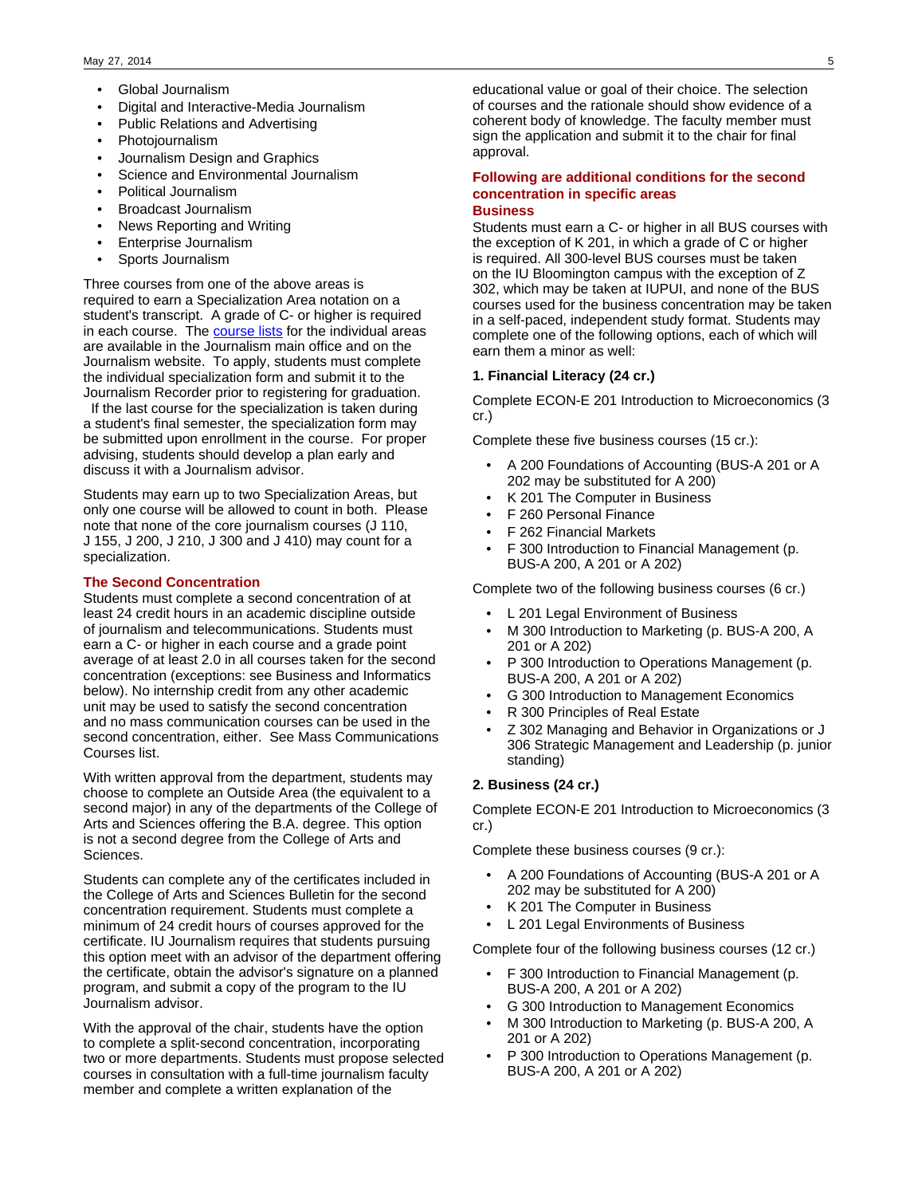- Global Journalism
- Digital and Interactive-Media Journalism
- Public Relations and Advertising
- Photojournalism
- Journalism Design and Graphics
- Science and Environmental Journalism
- Political Journalism
- Broadcast Journalism
- News Reporting and Writing
- Enterprise Journalism
- Sports Journalism

Three courses from one of the above areas is required to earn a Specialization Area notation on a student's transcript. A grade of C- or higher is required in each course. The [course lists](http://journalism.indiana.edu/undergraduate/specialization-areas/) for the individual areas are available in the Journalism main office and on the Journalism website. To apply, students must complete the individual specialization form and submit it to the Journalism Recorder prior to registering for graduation.

 If the last course for the specialization is taken during a student's final semester, the specialization form may be submitted upon enrollment in the course. For proper advising, students should develop a plan early and discuss it with a Journalism advisor.

Students may earn up to two Specialization Areas, but only one course will be allowed to count in both. Please note that none of the core journalism courses (J 110, J 155, J 200, J 210, J 300 and J 410) may count for a specialization.

### **The Second Concentration**

Students must complete a second concentration of at least 24 credit hours in an academic discipline outside of journalism and telecommunications. Students must earn a C- or higher in each course and a grade point average of at least 2.0 in all courses taken for the second concentration (exceptions: see Business and Informatics below). No internship credit from any other academic unit may be used to satisfy the second concentration and no mass communication courses can be used in the second concentration, either. See Mass Communications Courses list.

With written approval from the department, students may choose to complete an Outside Area (the equivalent to a second major) in any of the departments of the College of Arts and Sciences offering the B.A. degree. This option is not a second degree from the College of Arts and Sciences.

Students can complete any of the certificates included in the College of Arts and Sciences Bulletin for the second concentration requirement. Students must complete a minimum of 24 credit hours of courses approved for the certificate. IU Journalism requires that students pursuing this option meet with an advisor of the department offering the certificate, obtain the advisor's signature on a planned program, and submit a copy of the program to the IU Journalism advisor.

With the approval of the chair, students have the option to complete a split-second concentration, incorporating two or more departments. Students must propose selected courses in consultation with a full-time journalism faculty member and complete a written explanation of the

educational value or goal of their choice. The selection of courses and the rationale should show evidence of a coherent body of knowledge. The faculty member must sign the application and submit it to the chair for final approval.

## **Following are additional conditions for the second concentration in specific areas**

### **Business**

Students must earn a C- or higher in all BUS courses with the exception of K 201, in which a grade of C or higher is required. All 300-level BUS courses must be taken on the IU Bloomington campus with the exception of Z 302, which may be taken at IUPUI, and none of the BUS courses used for the business concentration may be taken in a self-paced, independent study format. Students may complete one of the following options, each of which will earn them a minor as well:

### **1. Financial Literacy (24 cr.)**

Complete ECON-E 201 Introduction to Microeconomics (3 cr.)

Complete these five business courses (15 cr.):

- A 200 Foundations of Accounting (BUS-A 201 or A 202 may be substituted for A 200)
- K 201 The Computer in Business
- F 260 Personal Finance
- F 262 Financial Markets
- F 300 Introduction to Financial Management (p. BUS-A 200, A 201 or A 202)

Complete two of the following business courses (6 cr.)

- L 201 Legal Environment of Business
- M 300 Introduction to Marketing (p. BUS-A 200, A 201 or A 202)
- P 300 Introduction to Operations Management (p. BUS-A 200, A 201 or A 202)
- G 300 Introduction to Management Economics
- R 300 Principles of Real Estate
- Z 302 Managing and Behavior in Organizations or J 306 Strategic Management and Leadership (p. junior standing)

## **2. Business (24 cr.)**

Complete ECON-E 201 Introduction to Microeconomics (3 cr.)

Complete these business courses (9 cr.):

- A 200 Foundations of Accounting (BUS-A 201 or A 202 may be substituted for A 200)
- K 201 The Computer in Business
- L 201 Legal Environments of Business

Complete four of the following business courses (12 cr.)

- F 300 Introduction to Financial Management (p. BUS-A 200, A 201 or A 202)
- G 300 Introduction to Management Economics
- M 300 Introduction to Marketing (p. BUS-A 200, A 201 or A 202)
- P 300 Introduction to Operations Management (p. BUS-A 200, A 201 or A 202)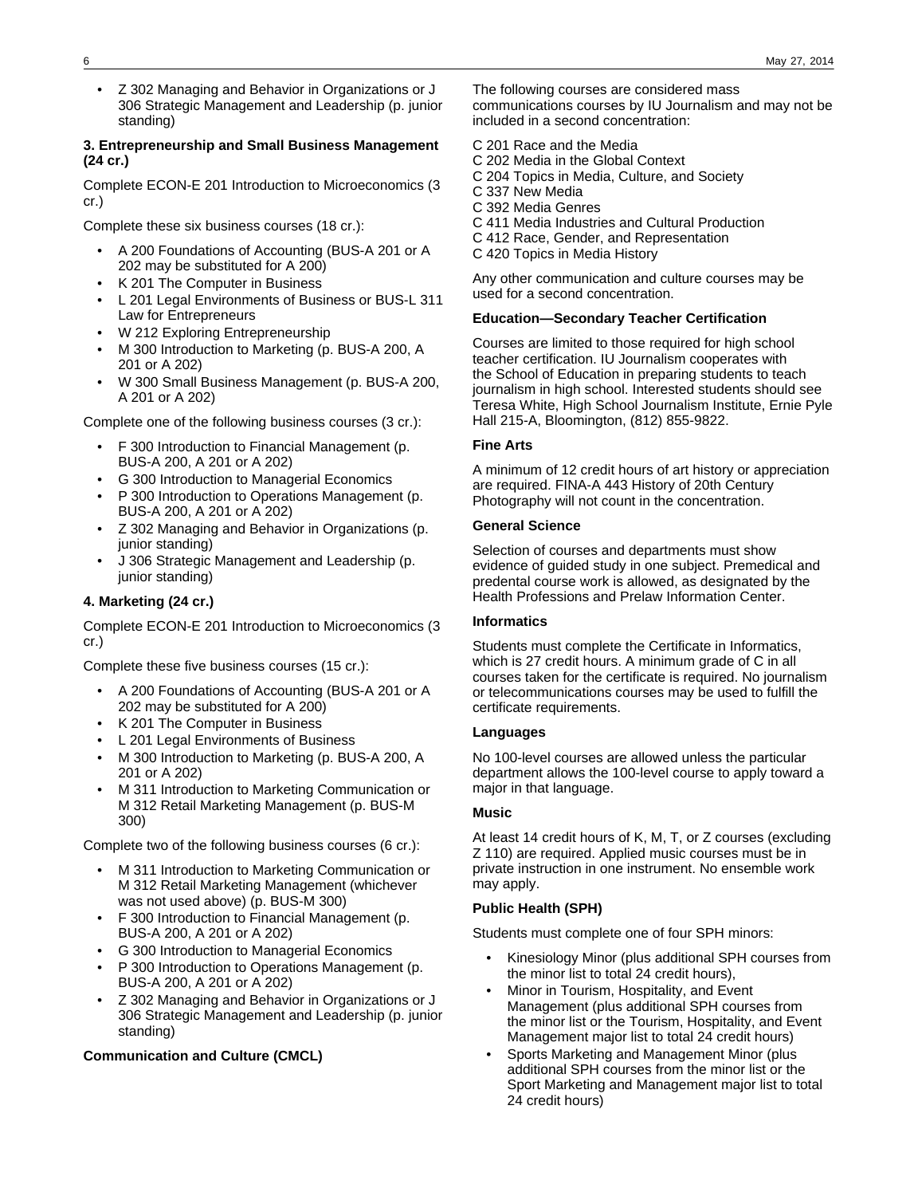- 6 May 27, 2014
- Z 302 Managing and Behavior in Organizations or J 306 Strategic Management and Leadership (p. junior standing)

### **3. Entrepreneurship and Small Business Management (24 cr.)**

Complete ECON-E 201 Introduction to Microeconomics (3 cr.)

Complete these six business courses (18 cr.):

- A 200 Foundations of Accounting (BUS-A 201 or A 202 may be substituted for A 200)
- K 201 The Computer in Business
- L 201 Legal Environments of Business or BUS-L 311 Law for Entrepreneurs
- W 212 Exploring Entrepreneurship
- M 300 Introduction to Marketing (p. BUS-A 200, A 201 or A 202)
- W 300 Small Business Management (p. BUS-A 200, A 201 or A 202)

Complete one of the following business courses (3 cr.):

- F 300 Introduction to Financial Management (p. BUS-A 200, A 201 or A 202)
- G 300 Introduction to Managerial Economics
- P 300 Introduction to Operations Management (p. BUS-A 200, A 201 or A 202)
- Z 302 Managing and Behavior in Organizations (p. junior standing)
- J 306 Strategic Management and Leadership (p. junior standing)

## **4. Marketing (24 cr.)**

Complete ECON-E 201 Introduction to Microeconomics (3 cr.)

Complete these five business courses (15 cr.):

- A 200 Foundations of Accounting (BUS-A 201 or A 202 may be substituted for A 200)
- K 201 The Computer in Business
- L 201 Legal Environments of Business
- M 300 Introduction to Marketing (p. BUS-A 200, A 201 or A 202)
- M 311 Introduction to Marketing Communication or M 312 Retail Marketing Management (p. BUS-M 300)

Complete two of the following business courses (6 cr.):

- M 311 Introduction to Marketing Communication or M 312 Retail Marketing Management (whichever was not used above) (p. BUS-M 300)
- F 300 Introduction to Financial Management (p. BUS-A 200, A 201 or A 202)
- G 300 Introduction to Managerial Economics
- P 300 Introduction to Operations Management (p. BUS-A 200, A 201 or A 202)
- Z 302 Managing and Behavior in Organizations or J 306 Strategic Management and Leadership (p. junior standing)

### **Communication and Culture (CMCL)**

The following courses are considered mass communications courses by IU Journalism and may not be included in a second concentration:

- C 201 Race and the Media
- C 202 Media in the Global Context
- C 204 Topics in Media, Culture, and Society
- C 337 New Media
- C 392 Media Genres
- C 411 Media Industries and Cultural Production
- C 412 Race, Gender, and Representation
- C 420 Topics in Media History

Any other communication and culture courses may be used for a second concentration.

### **Education—Secondary Teacher Certification**

Courses are limited to those required for high school teacher certification. IU Journalism cooperates with the School of Education in preparing students to teach journalism in high school. Interested students should see Teresa White, High School Journalism Institute, Ernie Pyle Hall 215-A, Bloomington, (812) 855-9822.

### **Fine Arts**

A minimum of 12 credit hours of art history or appreciation are required. FINA-A 443 History of 20th Century Photography will not count in the concentration.

### **General Science**

Selection of courses and departments must show evidence of guided study in one subject. Premedical and predental course work is allowed, as designated by the Health Professions and Prelaw Information Center.

### **Informatics**

Students must complete the Certificate in Informatics, which is 27 credit hours. A minimum grade of C in all courses taken for the certificate is required. No journalism or telecommunications courses may be used to fulfill the certificate requirements.

### **Languages**

No 100-level courses are allowed unless the particular department allows the 100-level course to apply toward a major in that language.

### **Music**

At least 14 credit hours of K, M, T, or Z courses (excluding Z 110) are required. Applied music courses must be in private instruction in one instrument. No ensemble work may apply.

### **Public Health (SPH)**

Students must complete one of four SPH minors:

- Kinesiology Minor (plus additional SPH courses from the minor list to total 24 credit hours),
- Minor in Tourism, Hospitality, and Event Management (plus additional SPH courses from the minor list or the Tourism, Hospitality, and Event Management major list to total 24 credit hours)
- Sports Marketing and Management Minor (plus additional SPH courses from the minor list or the Sport Marketing and Management major list to total 24 credit hours)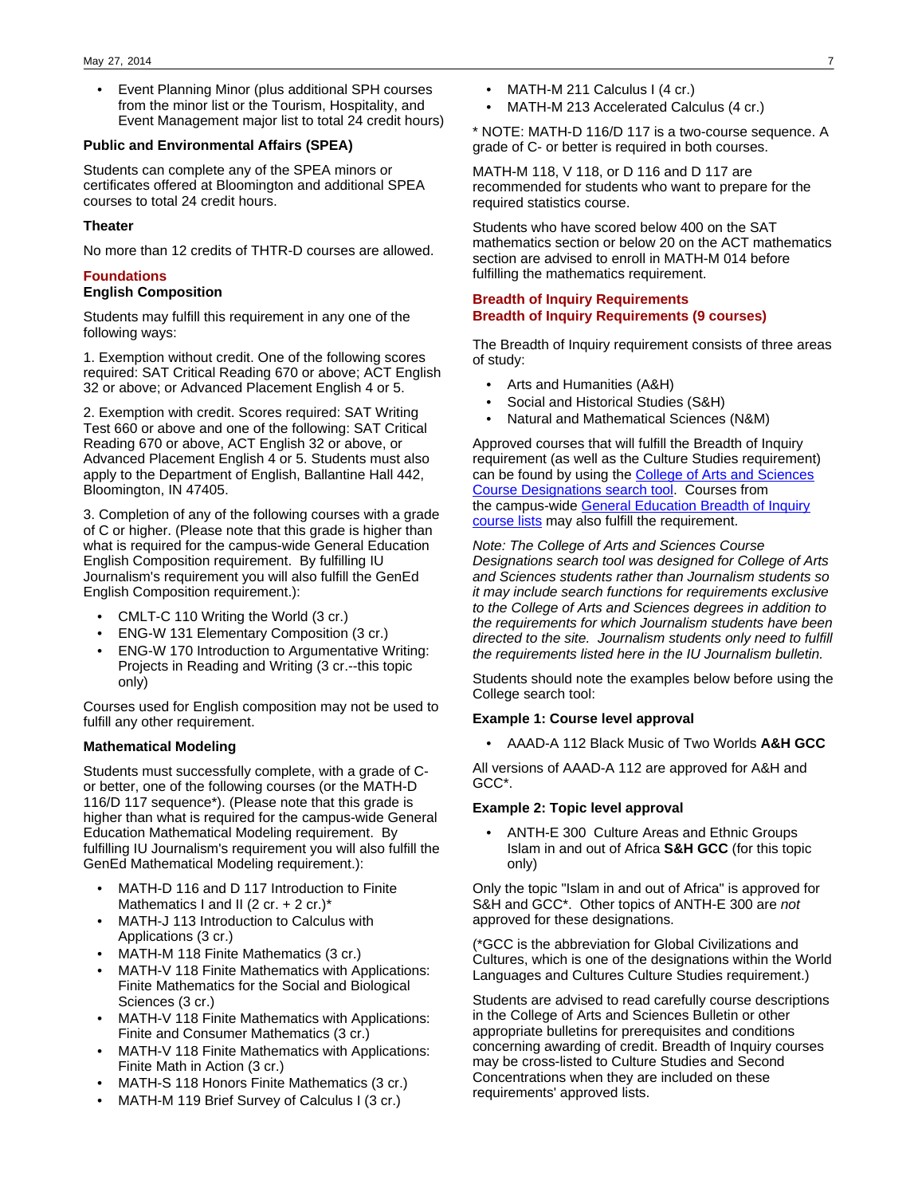• Event Planning Minor (plus additional SPH courses from the minor list or the Tourism, Hospitality, and Event Management major list to total 24 credit hours)

### **Public and Environmental Affairs (SPEA)**

Students can complete any of the SPEA minors or certificates offered at Bloomington and additional SPEA courses to total 24 credit hours.

### **Theater**

No more than 12 credits of THTR-D courses are allowed.

### **Foundations**

### **English Composition**

Students may fulfill this requirement in any one of the following ways:

1. Exemption without credit. One of the following scores required: SAT Critical Reading 670 or above; ACT English 32 or above; or Advanced Placement English 4 or 5.

2. Exemption with credit. Scores required: SAT Writing Test 660 or above and one of the following: SAT Critical Reading 670 or above, ACT English 32 or above, or Advanced Placement English 4 or 5. Students must also apply to the Department of English, Ballantine Hall 442, Bloomington, IN 47405.

3. Completion of any of the following courses with a grade of C or higher. (Please note that this grade is higher than what is required for the campus-wide General Education English Composition requirement. By fulfilling IU Journalism's requirement you will also fulfill the GenEd English Composition requirement.):

- CMLT-C 110 Writing the World (3 cr.)
- ENG-W 131 Elementary Composition (3 cr.)
- ENG-W 170 Introduction to Argumentative Writing: Projects in Reading and Writing (3 cr.--this topic only)

Courses used for English composition may not be used to fulfill any other requirement.

### **Mathematical Modeling**

Students must successfully complete, with a grade of Cor better, one of the following courses (or the MATH-D 116/D 117 sequence\*). (Please note that this grade is higher than what is required for the campus-wide General Education Mathematical Modeling requirement. By fulfilling IU Journalism's requirement you will also fulfill the GenEd Mathematical Modeling requirement.):

- MATH-D 116 and D 117 Introduction to Finite Mathematics I and II (2 cr. + 2 cr.)\*
- MATH-J 113 Introduction to Calculus with Applications (3 cr.)
- MATH-M 118 Finite Mathematics (3 cr.)
- MATH-V 118 Finite Mathematics with Applications: Finite Mathematics for the Social and Biological Sciences (3 cr.)
- MATH-V 118 Finite Mathematics with Applications: Finite and Consumer Mathematics (3 cr.)
- MATH-V 118 Finite Mathematics with Applications: Finite Math in Action (3 cr.)
- MATH-S 118 Honors Finite Mathematics (3 cr.)
- MATH-M 119 Brief Survey of Calculus I (3 cr.)
- MATH-M 211 Calculus I (4 cr.)
- MATH-M 213 Accelerated Calculus (4 cr.)

\* NOTE: MATH-D 116/D 117 is a two-course sequence. A grade of C- or better is required in both courses.

MATH-M 118, V 118, or D 116 and D 117 are recommended for students who want to prepare for the required statistics course.

Students who have scored below 400 on the SAT mathematics section or below 20 on the ACT mathematics section are advised to enroll in MATH-M 014 before fulfilling the mathematics requirement.

## **Breadth of Inquiry Requirements Breadth of Inquiry Requirements (9 courses)**

The Breadth of Inquiry requirement consists of three areas of study:

- Arts and Humanities (A&H)
- Social and Historical Studies (S&H)
- Natural and Mathematical Sciences (N&M)

Approved courses that will fulfill the Breadth of Inquiry requirement (as well as the Culture Studies requirement) can be found by using the [College of Arts and Sciences](http://college.indiana.edu/bulletin-courses/) [Course Designations search tool](http://college.indiana.edu/bulletin-courses/). Courses from the campus-wide [General Education Breadth of Inquiry](http://gened.iub.edu/courses/genedcourses.html) [course lists](http://gened.iub.edu/courses/genedcourses.html) may also fulfill the requirement.

Note: The College of Arts and Sciences Course Designations search tool was designed for College of Arts and Sciences students rather than Journalism students so it may include search functions for requirements exclusive to the College of Arts and Sciences degrees in addition to the requirements for which Journalism students have been directed to the site. Journalism students only need to fulfill the requirements listed here in the IU Journalism bulletin.

Students should note the examples below before using the College search tool:

### **Example 1: Course level approval**

• AAAD-A 112 Black Music of Two Worlds **A&H GCC**

All versions of AAAD-A 112 are approved for A&H and GCC\*.

### **Example 2: Topic level approval**

• ANTH-E 300 Culture Areas and Ethnic Groups Islam in and out of Africa **S&H GCC** (for this topic only)

Only the topic "Islam in and out of Africa" is approved for S&H and GCC\*. Other topics of ANTH-E 300 are not approved for these designations.

(\*GCC is the abbreviation for Global Civilizations and Cultures, which is one of the designations within the World Languages and Cultures Culture Studies requirement.)

Students are advised to read carefully course descriptions in the College of Arts and Sciences Bulletin or other appropriate bulletins for prerequisites and conditions concerning awarding of credit. Breadth of Inquiry courses may be cross-listed to Culture Studies and Second Concentrations when they are included on these requirements' approved lists.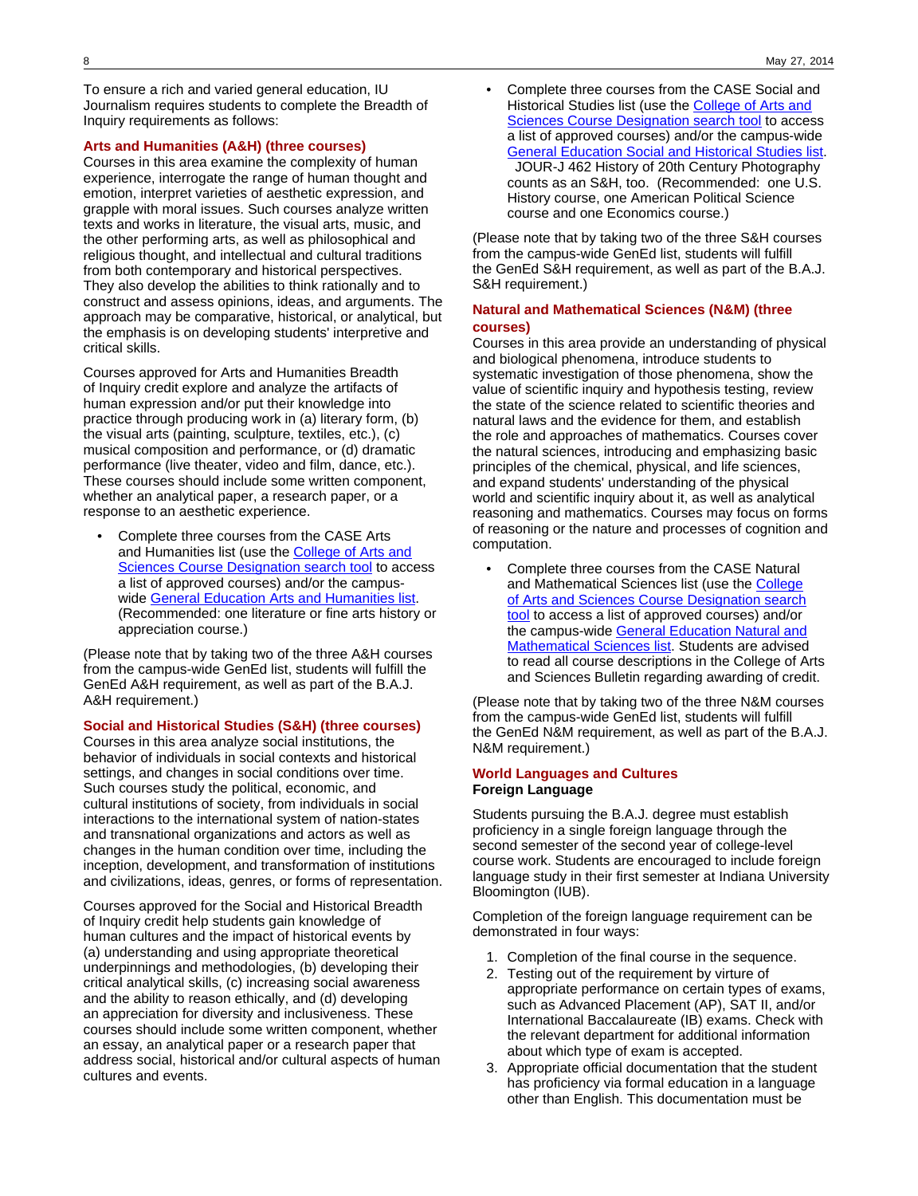To ensure a rich and varied general education, IU Journalism requires students to complete the Breadth of Inquiry requirements as follows:

### **Arts and Humanities (A&H) (three courses)**

Courses in this area examine the complexity of human experience, interrogate the range of human thought and emotion, interpret varieties of aesthetic expression, and grapple with moral issues. Such courses analyze written texts and works in literature, the visual arts, music, and the other performing arts, as well as philosophical and religious thought, and intellectual and cultural traditions from both contemporary and historical perspectives. They also develop the abilities to think rationally and to construct and assess opinions, ideas, and arguments. The approach may be comparative, historical, or analytical, but the emphasis is on developing students' interpretive and critical skills.

Courses approved for Arts and Humanities Breadth of Inquiry credit explore and analyze the artifacts of human expression and/or put their knowledge into practice through producing work in (a) literary form, (b) the visual arts (painting, sculpture, textiles, etc.), (c) musical composition and performance, or (d) dramatic performance (live theater, video and film, dance, etc.). These courses should include some written component, whether an analytical paper, a research paper, or a response to an aesthetic experience.

• Complete three courses from the CASE Arts and Humanities list (use the [College of Arts and](http://college.indiana.edu/bulletin-courses/) **[Sciences Course Designation search tool](http://college.indiana.edu/bulletin-courses/) to access** a list of approved courses) and/or the campus-wide [General Education Arts and Humanities list](http://gened.iub.edu/courses/genedcourses.html). (Recommended: one literature or fine arts history or appreciation course.)

(Please note that by taking two of the three A&H courses from the campus-wide GenEd list, students will fulfill the GenEd A&H requirement, as well as part of the B.A.J. A&H requirement.)

## **Social and Historical Studies (S&H) (three courses)**

Courses in this area analyze social institutions, the behavior of individuals in social contexts and historical settings, and changes in social conditions over time. Such courses study the political, economic, and cultural institutions of society, from individuals in social interactions to the international system of nation-states and transnational organizations and actors as well as changes in the human condition over time, including the inception, development, and transformation of institutions and civilizations, ideas, genres, or forms of representation.

Courses approved for the Social and Historical Breadth of Inquiry credit help students gain knowledge of human cultures and the impact of historical events by (a) understanding and using appropriate theoretical underpinnings and methodologies, (b) developing their critical analytical skills, (c) increasing social awareness and the ability to reason ethically, and (d) developing an appreciation for diversity and inclusiveness. These courses should include some written component, whether an essay, an analytical paper or a research paper that address social, historical and/or cultural aspects of human cultures and events.

• Complete three courses from the CASE Social and Historical Studies list (use the **College of Arts and [Sciences Course Designation search tool](http://college.indiana.edu/bulletin-courses/) to access** a list of approved courses) and/or the campus-wide [General Education Social and Historical Studies list](http://gened.iub.edu/courses/genedcourses.html). JOUR-J 462 History of 20th Century Photography counts as an S&H, too. (Recommended: one U.S. History course, one American Political Science course and one Economics course.)

(Please note that by taking two of the three S&H courses from the campus-wide GenEd list, students will fulfill the GenEd S&H requirement, as well as part of the B.A.J. S&H requirement.)

### **Natural and Mathematical Sciences (N&M) (three courses)**

Courses in this area provide an understanding of physical and biological phenomena, introduce students to systematic investigation of those phenomena, show the value of scientific inquiry and hypothesis testing, review the state of the science related to scientific theories and natural laws and the evidence for them, and establish the role and approaches of mathematics. Courses cover the natural sciences, introducing and emphasizing basic principles of the chemical, physical, and life sciences, and expand students' understanding of the physical world and scientific inquiry about it, as well as analytical reasoning and mathematics. Courses may focus on forms of reasoning or the nature and processes of cognition and computation.

• Complete three courses from the CASE Natural and Mathematical Sciences list (use the [College](http://college.indiana.edu/bulletin-courses/) [of Arts and Sciences Course Designation search](http://college.indiana.edu/bulletin-courses/) [tool](http://college.indiana.edu/bulletin-courses/) to access a list of approved courses) and/or the campus-wide [General Education Natural and](http://gened.iub.edu/courses/genedcourses.html) Mathematical Sciences list</u>. Students are advised to read all course descriptions in the College of Arts and Sciences Bulletin regarding awarding of credit.

(Please note that by taking two of the three N&M courses from the campus-wide GenEd list, students will fulfill the GenEd N&M requirement, as well as part of the B.A.J. N&M requirement.)

### **World Languages and Cultures Foreign Language**

Students pursuing the B.A.J. degree must establish proficiency in a single foreign language through the second semester of the second year of college-level course work. Students are encouraged to include foreign language study in their first semester at Indiana University Bloomington (IUB).

Completion of the foreign language requirement can be demonstrated in four ways:

- 1. Completion of the final course in the sequence.
- 2. Testing out of the requirement by virture of appropriate performance on certain types of exams, such as Advanced Placement (AP), SAT II, and/or International Baccalaureate (IB) exams. Check with the relevant department for additional information about which type of exam is accepted.
- 3. Appropriate official documentation that the student has proficiency via formal education in a language other than English. This documentation must be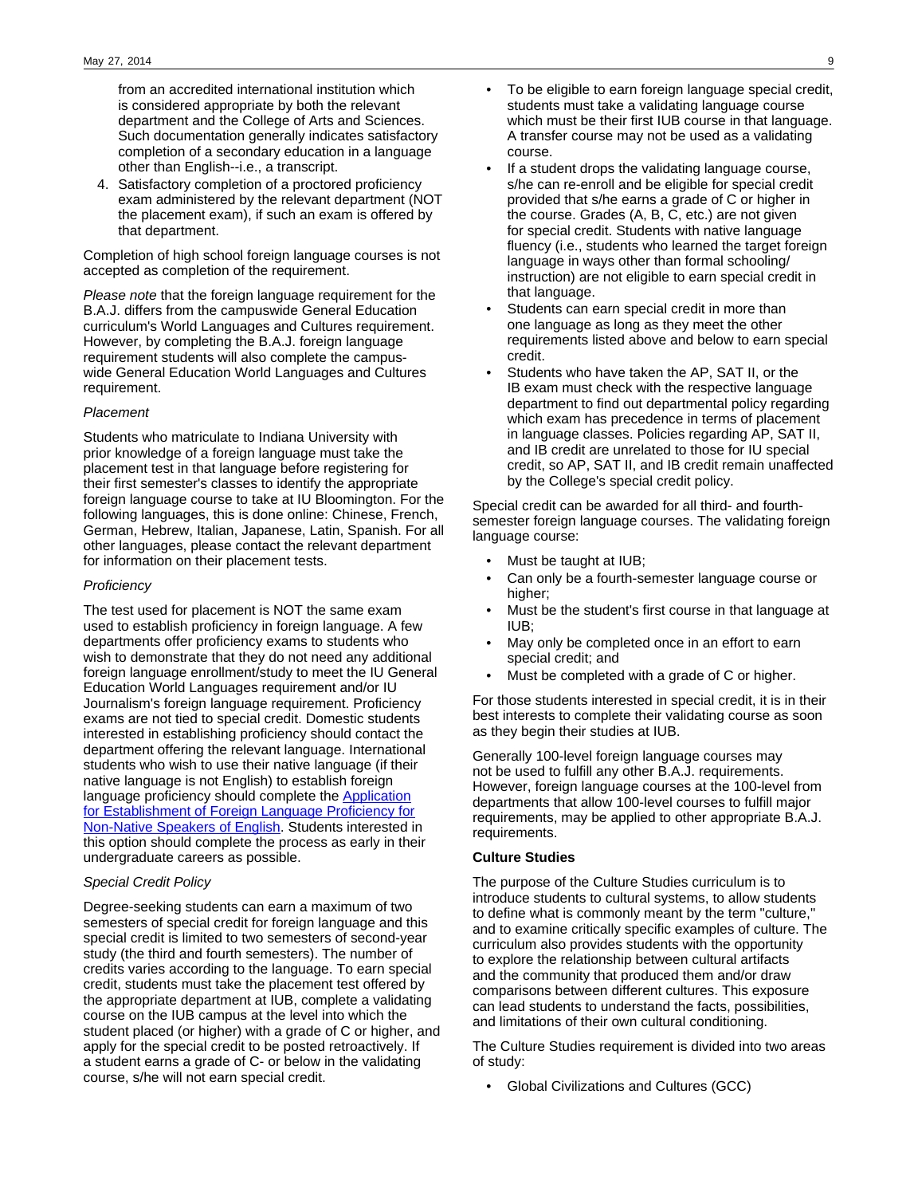from an accredited international institution which is considered appropriate by both the relevant department and the College of Arts and Sciences. Such documentation generally indicates satisfactory completion of a secondary education in a language other than English--i.e., a transcript.

4. Satisfactory completion of a proctored proficiency exam administered by the relevant department (NOT the placement exam), if such an exam is offered by that department.

Completion of high school foreign language courses is not accepted as completion of the requirement.

Please note that the foreign language requirement for the B.A.J. differs from the campuswide General Education curriculum's World Languages and Cultures requirement. However, by completing the B.A.J. foreign language requirement students will also complete the campuswide General Education World Languages and Cultures requirement.

### Placement

Students who matriculate to Indiana University with prior knowledge of a foreign language must take the placement test in that language before registering for their first semester's classes to identify the appropriate foreign language course to take at IU Bloomington. For the following languages, this is done online: Chinese, French, German, Hebrew, Italian, Japanese, Latin, Spanish. For all other languages, please contact the relevant department for information on their placement tests.

### **Proficiency**

The test used for placement is NOT the same exam used to establish proficiency in foreign language. A few departments offer proficiency exams to students who wish to demonstrate that they do not need any additional foreign language enrollment/study to meet the IU General Education World Languages requirement and/or IU Journalism's foreign language requirement. Proficiency exams are not tied to special credit. Domestic students interested in establishing proficiency should contact the department offering the relevant language. International students who wish to use their native language (if their native language is not English) to establish foreign language proficiency should complete the **Application** [for Establishment of Foreign Language Proficiency for](http://college.indiana.edu/recorder/forms/ForeignLanguageProficiencyForm.pdf) [Non-Native Speakers of English.](http://college.indiana.edu/recorder/forms/ForeignLanguageProficiencyForm.pdf) Students interested in this option should complete the process as early in their undergraduate careers as possible.

### Special Credit Policy

Degree-seeking students can earn a maximum of two semesters of special credit for foreign language and this special credit is limited to two semesters of second-year study (the third and fourth semesters). The number of credits varies according to the language. To earn special credit, students must take the placement test offered by the appropriate department at IUB, complete a validating course on the IUB campus at the level into which the student placed (or higher) with a grade of C or higher, and apply for the special credit to be posted retroactively. If a student earns a grade of C- or below in the validating course, s/he will not earn special credit.

- If a student drops the validating language course, s/he can re-enroll and be eligible for special credit provided that s/he earns a grade of C or higher in the course. Grades (A, B, C, etc.) are not given for special credit. Students with native language fluency (i.e., students who learned the target foreign language in ways other than formal schooling/ instruction) are not eligible to earn special credit in that language.
- Students can earn special credit in more than one language as long as they meet the other requirements listed above and below to earn special credit.
- Students who have taken the AP, SAT II, or the IB exam must check with the respective language department to find out departmental policy regarding which exam has precedence in terms of placement in language classes. Policies regarding AP, SAT II, and IB credit are unrelated to those for IU special credit, so AP, SAT II, and IB credit remain unaffected by the College's special credit policy.

Special credit can be awarded for all third- and fourthsemester foreign language courses. The validating foreign language course:

- Must be taught at IUB;
- Can only be a fourth-semester language course or higher;
- Must be the student's first course in that language at IUB;
- May only be completed once in an effort to earn special credit; and
- Must be completed with a grade of C or higher.

For those students interested in special credit, it is in their best interests to complete their validating course as soon as they begin their studies at IUB.

Generally 100-level foreign language courses may not be used to fulfill any other B.A.J. requirements. However, foreign language courses at the 100-level from departments that allow 100-level courses to fulfill major requirements, may be applied to other appropriate B.A.J. requirements.

### **Culture Studies**

The purpose of the Culture Studies curriculum is to introduce students to cultural systems, to allow students to define what is commonly meant by the term "culture," and to examine critically specific examples of culture. The curriculum also provides students with the opportunity to explore the relationship between cultural artifacts and the community that produced them and/or draw comparisons between different cultures. This exposure can lead students to understand the facts, possibilities, and limitations of their own cultural conditioning.

The Culture Studies requirement is divided into two areas of study:

• Global Civilizations and Cultures (GCC)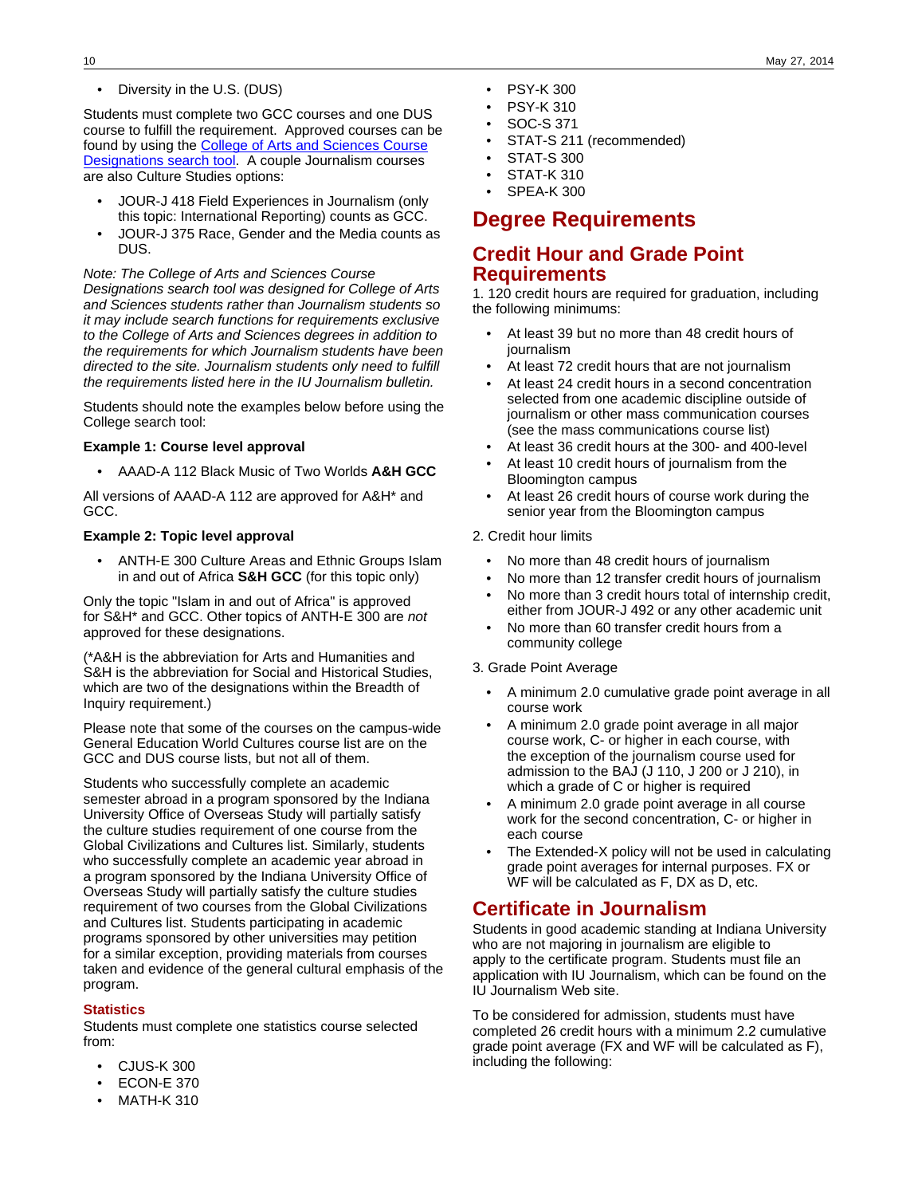• Diversity in the U.S. (DUS)

Students must complete two GCC courses and one DUS course to fulfill the requirement. Approved courses can be found by using the **College of Arts and Sciences Course** [Designations search tool.](http://college.indiana.edu/bulletin-courses/) A couple Journalism courses are also Culture Studies options:

- JOUR-J 418 Field Experiences in Journalism (only this topic: International Reporting) counts as GCC.
- JOUR-J 375 Race, Gender and the Media counts as DUS.

Note: The College of Arts and Sciences Course Designations search tool was designed for College of Arts and Sciences students rather than Journalism students so it may include search functions for requirements exclusive to the College of Arts and Sciences degrees in addition to the requirements for which Journalism students have been directed to the site. Journalism students only need to fulfill the requirements listed here in the IU Journalism bulletin.

Students should note the examples below before using the College search tool:

### **Example 1: Course level approval**

• AAAD-A 112 Black Music of Two Worlds **A&H GCC**

All versions of AAAD-A 112 are approved for A&H\* and GCC.

## **Example 2: Topic level approval**

• ANTH-E 300 Culture Areas and Ethnic Groups Islam in and out of Africa **S&H GCC** (for this topic only)

Only the topic "Islam in and out of Africa" is approved for S&H\* and GCC. Other topics of ANTH-E 300 are not approved for these designations.

(\*A&H is the abbreviation for Arts and Humanities and S&H is the abbreviation for Social and Historical Studies, which are two of the designations within the Breadth of Inquiry requirement.)

Please note that some of the courses on the campus-wide General Education World Cultures course list are on the GCC and DUS course lists, but not all of them.

Students who successfully complete an academic semester abroad in a program sponsored by the Indiana University Office of Overseas Study will partially satisfy the culture studies requirement of one course from the Global Civilizations and Cultures list. Similarly, students who successfully complete an academic year abroad in a program sponsored by the Indiana University Office of Overseas Study will partially satisfy the culture studies requirement of two courses from the Global Civilizations and Cultures list. Students participating in academic programs sponsored by other universities may petition for a similar exception, providing materials from courses taken and evidence of the general cultural emphasis of the program.

### **Statistics**

Students must complete one statistics course selected from:

- CJUS-K 300
- **ECON-E 370**
- MATH-K 310
- PSY-K 300
- PSY-K 310
- SOC-S 371
- STAT-S 211 (recommended)
- STAT-S 300
- STAT-K 310
- **SPEA-K 300**

# **Degree Requirements**

# **Credit Hour and Grade Point Requirements**

1. 120 credit hours are required for graduation, including the following minimums:

- At least 39 but no more than 48 credit hours of journalism
- At least 72 credit hours that are not journalism
- At least 24 credit hours in a second concentration selected from one academic discipline outside of journalism or other mass communication courses (see the mass communications course list)
- At least 36 credit hours at the 300- and 400-level
- At least 10 credit hours of journalism from the Bloomington campus
- At least 26 credit hours of course work during the senior year from the Bloomington campus

### 2. Credit hour limits

- No more than 48 credit hours of journalism
- No more than 12 transfer credit hours of journalism
- No more than 3 credit hours total of internship credit, either from JOUR-J 492 or any other academic unit
- No more than 60 transfer credit hours from a community college

### 3. Grade Point Average

- A minimum 2.0 cumulative grade point average in all course work
- A minimum 2.0 grade point average in all major course work, C- or higher in each course, with the exception of the journalism course used for admission to the BAJ (J 110, J 200 or J 210), in which a grade of C or higher is required
- A minimum 2.0 grade point average in all course work for the second concentration, C- or higher in each course
- The Extended-X policy will not be used in calculating grade point averages for internal purposes. FX or WF will be calculated as F, DX as D, etc.

# **Certificate in Journalism**

Students in good academic standing at Indiana University who are not majoring in journalism are eligible to apply to the certificate program. Students must file an application with IU Journalism, which can be found on the IU Journalism Web site.

To be considered for admission, students must have completed 26 credit hours with a minimum 2.2 cumulative grade point average (FX and WF will be calculated as F), including the following: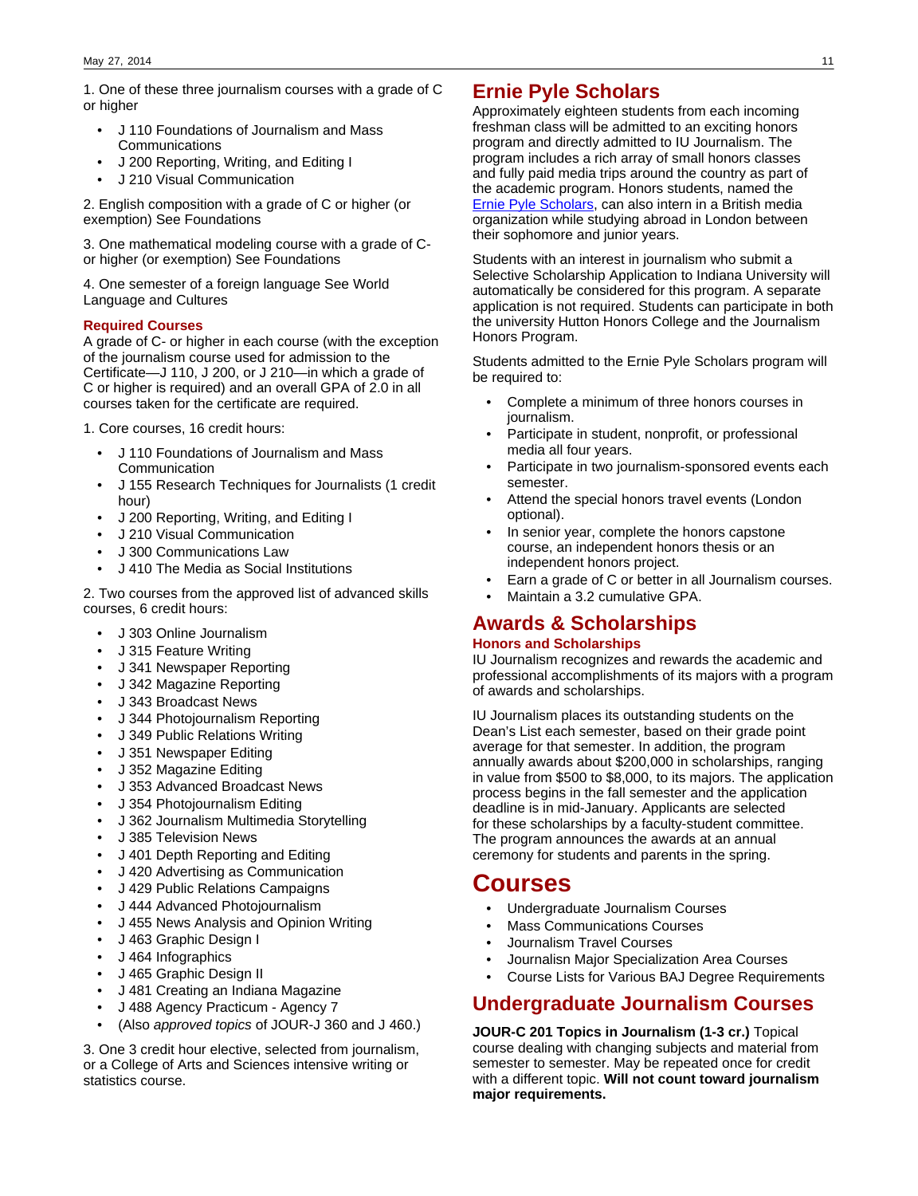1. One of these three journalism courses with a grade of C or higher

- J 110 Foundations of Journalism and Mass Communications
- J 200 Reporting, Writing, and Editing I
- J 210 Visual Communication

2. English composition with a grade of C or higher (or exemption) See Foundations

3. One mathematical modeling course with a grade of Cor higher (or exemption) See Foundations

4. One semester of a foreign language See World Language and Cultures

### **Required Courses**

A grade of C- or higher in each course (with the exception of the journalism course used for admission to the Certificate—J 110, J 200, or J 210—in which a grade of C or higher is required) and an overall GPA of 2.0 in all courses taken for the certificate are required.

1. Core courses, 16 credit hours:

- J 110 Foundations of Journalism and Mass **Communication**
- J 155 Research Techniques for Journalists (1 credit hour)
- J 200 Reporting, Writing, and Editing I
- J 210 Visual Communication
- J 300 Communications Law
- J 410 The Media as Social Institutions

2. Two courses from the approved list of advanced skills courses, 6 credit hours:

- J 303 Online Journalism
- J 315 Feature Writing
- J 341 Newspaper Reporting
- J 342 Magazine Reporting
- J 343 Broadcast News
- J 344 Photojournalism Reporting
- J 349 Public Relations Writing
- J 351 Newspaper Editing
- J 352 Magazine Editing
- J 353 Advanced Broadcast News
- J 354 Photojournalism Editing
- J 362 Journalism Multimedia Storytelling
- J 385 Television News
- J 401 Depth Reporting and Editing
- J 420 Advertising as Communication
- J 429 Public Relations Campaigns
- J 444 Advanced Photojournalism
- J 455 News Analysis and Opinion Writing
- J 463 Graphic Design I
- J 464 Infographics
- J 465 Graphic Design II
- J 481 Creating an Indiana Magazine
- J 488 Agency Practicum Agency 7
- (Also approved topics of JOUR-J 360 and J 460.)

3. One 3 credit hour elective, selected from journalism, or a College of Arts and Sciences intensive writing or statistics course.

# **Ernie Pyle Scholars**

Approximately eighteen students from each incoming freshman class will be admitted to an exciting honors program and directly admitted to IU Journalism. The program includes a rich array of small honors classes and fully paid media trips around the country as part of the academic program. Honors students, named the [Ernie Pyle Scholars,](http://journalism.indiana.edu/undergraduate/undergraduate-admissions/honors-program-ernie-pyle-scholars/) can also intern in a British media organization while studying abroad in London between their sophomore and junior years.

Students with an interest in journalism who submit a Selective Scholarship Application to Indiana University will automatically be considered for this program. A separate application is not required. Students can participate in both the university Hutton Honors College and the Journalism Honors Program.

Students admitted to the Ernie Pyle Scholars program will be required to:

- Complete a minimum of three honors courses in journalism.
- Participate in student, nonprofit, or professional media all four years.
- Participate in two journalism-sponsored events each semester.
- Attend the special honors travel events (London optional).
- In senior year, complete the honors capstone course, an independent honors thesis or an independent honors project.
- Earn a grade of C or better in all Journalism courses.
- Maintain a 3.2 cumulative GPA.

# **Awards & Scholarships**

### **Honors and Scholarships**

IU Journalism recognizes and rewards the academic and professional accomplishments of its majors with a program of awards and scholarships.

IU Journalism places its outstanding students on the Dean's List each semester, based on their grade point average for that semester. In addition, the program annually awards about \$200,000 in scholarships, ranging in value from \$500 to \$8,000, to its majors. The application process begins in the fall semester and the application deadline is in mid-January. Applicants are selected for these scholarships by a faculty-student committee. The program announces the awards at an annual ceremony for students and parents in the spring.

# **Courses**

- Undergraduate Journalism Courses
- **Mass Communications Courses**
- Journalism Travel Courses
- Journalisn Major Specialization Area Courses
- Course Lists for Various BAJ Degree Requirements

# **Undergraduate Journalism Courses**

**JOUR-C 201 Topics in Journalism (1-3 cr.)** Topical course dealing with changing subjects and material from semester to semester. May be repeated once for credit with a different topic. **Will not count toward journalism major requirements.**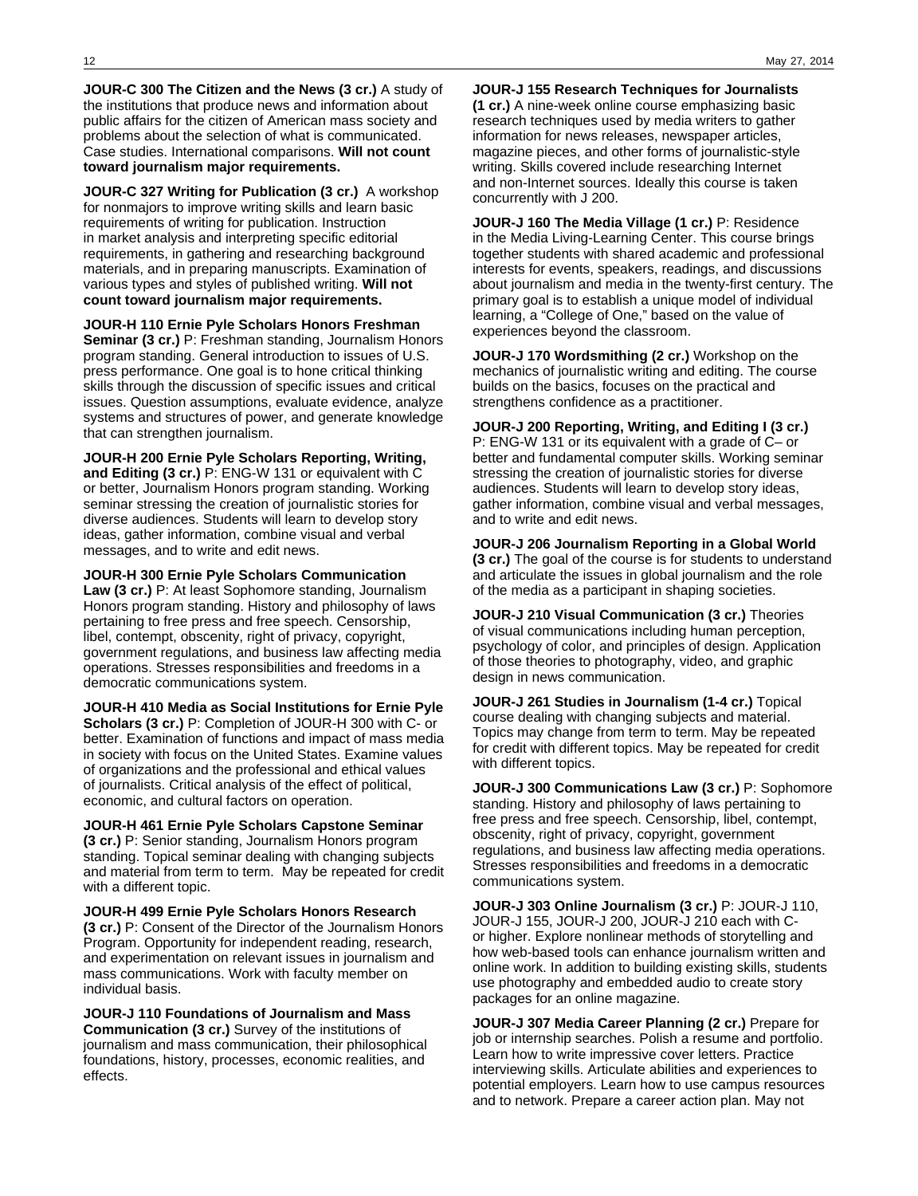**JOUR-C 300 The Citizen and the News (3 cr.)** A study of the institutions that produce news and information about public affairs for the citizen of American mass society and problems about the selection of what is communicated. Case studies. International comparisons. **Will not count toward journalism major requirements.**

**JOUR-C 327 Writing for Publication (3 cr.)** A workshop for nonmajors to improve writing skills and learn basic requirements of writing for publication. Instruction in market analysis and interpreting specific editorial requirements, in gathering and researching background materials, and in preparing manuscripts. Examination of various types and styles of published writing. **Will not count toward journalism major requirements.**

#### **JOUR-H 110 Ernie Pyle Scholars Honors Freshman**

**Seminar (3 cr.)** P: Freshman standing, Journalism Honors program standing. General introduction to issues of U.S. press performance. One goal is to hone critical thinking skills through the discussion of specific issues and critical issues. Question assumptions, evaluate evidence, analyze systems and structures of power, and generate knowledge that can strengthen journalism.

**JOUR-H 200 Ernie Pyle Scholars Reporting, Writing, and Editing (3 cr.)** P: ENG-W 131 or equivalent with C or better, Journalism Honors program standing. Working seminar stressing the creation of journalistic stories for diverse audiences. Students will learn to develop story ideas, gather information, combine visual and verbal messages, and to write and edit news.

#### **JOUR-H 300 Ernie Pyle Scholars Communication**

**Law (3 cr.)** P: At least Sophomore standing, Journalism Honors program standing. History and philosophy of laws pertaining to free press and free speech. Censorship, libel, contempt, obscenity, right of privacy, copyright, government regulations, and business law affecting media operations. Stresses responsibilities and freedoms in a democratic communications system.

**JOUR-H 410 Media as Social Institutions for Ernie Pyle Scholars (3 cr.)** P: Completion of JOUR-H 300 with C- or better. Examination of functions and impact of mass media in society with focus on the United States. Examine values of organizations and the professional and ethical values of journalists. Critical analysis of the effect of political, economic, and cultural factors on operation.

## **JOUR-H 461 Ernie Pyle Scholars Capstone Seminar**

**(3 cr.)** P: Senior standing, Journalism Honors program standing. Topical seminar dealing with changing subjects and material from term to term. May be repeated for credit with a different topic.

**JOUR-H 499 Ernie Pyle Scholars Honors Research (3 cr.)** P: Consent of the Director of the Journalism Honors Program. Opportunity for independent reading, research, and experimentation on relevant issues in journalism and mass communications. Work with faculty member on individual basis.

**JOUR-J 110 Foundations of Journalism and Mass Communication (3 cr.)** Survey of the institutions of journalism and mass communication, their philosophical foundations, history, processes, economic realities, and effects.

**JOUR-J 155 Research Techniques for Journalists (1 cr.)** A nine-week online course emphasizing basic research techniques used by media writers to gather information for news releases, newspaper articles, magazine pieces, and other forms of journalistic-style writing. Skills covered include researching Internet and non-Internet sources. Ideally this course is taken concurrently with J 200.

**JOUR-J 160 The Media Village (1 cr.)** P: Residence in the Media Living-Learning Center. This course brings together students with shared academic and professional interests for events, speakers, readings, and discussions about journalism and media in the twenty-first century. The primary goal is to establish a unique model of individual learning, a "College of One," based on the value of experiences beyond the classroom.

**JOUR-J 170 Wordsmithing (2 cr.)** Workshop on the mechanics of journalistic writing and editing. The course builds on the basics, focuses on the practical and strengthens confidence as a practitioner.

**JOUR-J 200 Reporting, Writing, and Editing I (3 cr.)** P: ENG-W 131 or its equivalent with a grade of C– or better and fundamental computer skills. Working seminar stressing the creation of journalistic stories for diverse audiences. Students will learn to develop story ideas, gather information, combine visual and verbal messages, and to write and edit news.

**JOUR-J 206 Journalism Reporting in a Global World (3 cr.)** The goal of the course is for students to understand and articulate the issues in global journalism and the role of the media as a participant in shaping societies.

**JOUR-J 210 Visual Communication (3 cr.)** Theories of visual communications including human perception, psychology of color, and principles of design. Application of those theories to photography, video, and graphic design in news communication.

**JOUR-J 261 Studies in Journalism (1-4 cr.)** Topical course dealing with changing subjects and material. Topics may change from term to term. May be repeated for credit with different topics. May be repeated for credit with different topics.

**JOUR-J 300 Communications Law (3 cr.)** P: Sophomore standing. History and philosophy of laws pertaining to free press and free speech. Censorship, libel, contempt, obscenity, right of privacy, copyright, government regulations, and business law affecting media operations. Stresses responsibilities and freedoms in a democratic communications system.

**JOUR-J 303 Online Journalism (3 cr.)** P: JOUR-J 110, JOUR-J 155, JOUR-J 200, JOUR-J 210 each with Cor higher. Explore nonlinear methods of storytelling and how web-based tools can enhance journalism written and online work. In addition to building existing skills, students use photography and embedded audio to create story packages for an online magazine.

**JOUR-J 307 Media Career Planning (2 cr.)** Prepare for job or internship searches. Polish a resume and portfolio. Learn how to write impressive cover letters. Practice interviewing skills. Articulate abilities and experiences to potential employers. Learn how to use campus resources and to network. Prepare a career action plan. May not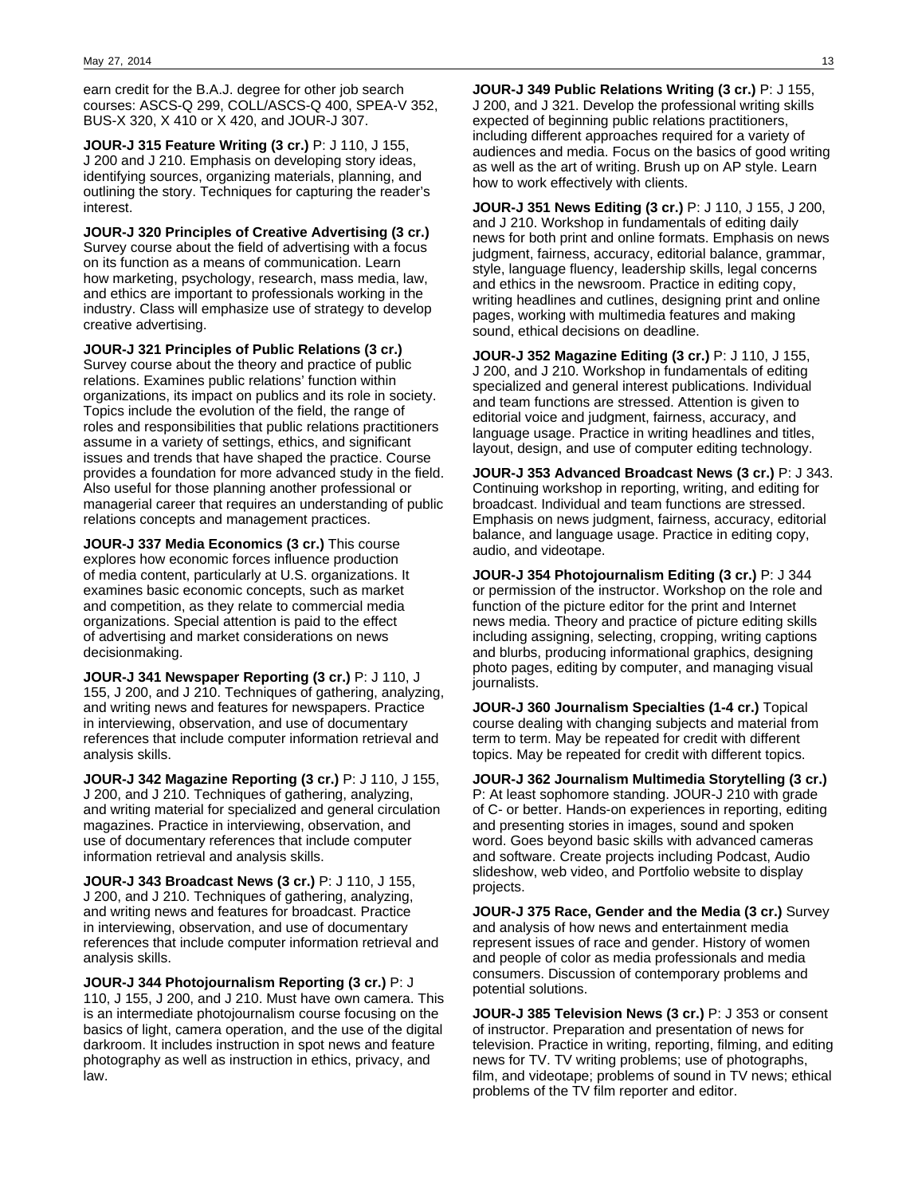earn credit for the B.A.J. degree for other job search courses: ASCS-Q 299, COLL/ASCS-Q 400, SPEA-V 352, BUS-X 320, X 410 or X 420, and JOUR-J 307.

**JOUR-J 315 Feature Writing (3 cr.)** P: J 110, J 155, J 200 and J 210. Emphasis on developing story ideas, identifying sources, organizing materials, planning, and outlining the story. Techniques for capturing the reader's interest.

**JOUR-J 320 Principles of Creative Advertising (3 cr.)** Survey course about the field of advertising with a focus on its function as a means of communication. Learn how marketing, psychology, research, mass media, law, and ethics are important to professionals working in the industry. Class will emphasize use of strategy to develop creative advertising.

**JOUR-J 321 Principles of Public Relations (3 cr.)** Survey course about the theory and practice of public relations. Examines public relations' function within organizations, its impact on publics and its role in society. Topics include the evolution of the field, the range of roles and responsibilities that public relations practitioners assume in a variety of settings, ethics, and significant issues and trends that have shaped the practice. Course provides a foundation for more advanced study in the field. Also useful for those planning another professional or managerial career that requires an understanding of public relations concepts and management practices.

**JOUR-J 337 Media Economics (3 cr.)** This course explores how economic forces influence production of media content, particularly at U.S. organizations. It examines basic economic concepts, such as market and competition, as they relate to commercial media organizations. Special attention is paid to the effect of advertising and market considerations on news decisionmaking.

**JOUR-J 341 Newspaper Reporting (3 cr.)** P: J 110, J 155, J 200, and J 210. Techniques of gathering, analyzing, and writing news and features for newspapers. Practice in interviewing, observation, and use of documentary references that include computer information retrieval and analysis skills.

**JOUR-J 342 Magazine Reporting (3 cr.)** P: J 110, J 155, J 200, and J 210. Techniques of gathering, analyzing, and writing material for specialized and general circulation magazines. Practice in interviewing, observation, and use of documentary references that include computer information retrieval and analysis skills.

**JOUR-J 343 Broadcast News (3 cr.)** P: J 110, J 155, J 200, and J 210. Techniques of gathering, analyzing, and writing news and features for broadcast. Practice in interviewing, observation, and use of documentary references that include computer information retrieval and analysis skills.

**JOUR-J 344 Photojournalism Reporting (3 cr.)** P: J 110, J 155, J 200, and J 210. Must have own camera. This is an intermediate photojournalism course focusing on the basics of light, camera operation, and the use of the digital darkroom. It includes instruction in spot news and feature photography as well as instruction in ethics, privacy, and law.

**JOUR-J 349 Public Relations Writing (3 cr.)** P: J 155, J 200, and J 321. Develop the professional writing skills expected of beginning public relations practitioners, including different approaches required for a variety of audiences and media. Focus on the basics of good writing as well as the art of writing. Brush up on AP style. Learn how to work effectively with clients.

**JOUR-J 351 News Editing (3 cr.)** P: J 110, J 155, J 200, and J 210. Workshop in fundamentals of editing daily news for both print and online formats. Emphasis on news judgment, fairness, accuracy, editorial balance, grammar, style, language fluency, leadership skills, legal concerns and ethics in the newsroom. Practice in editing copy, writing headlines and cutlines, designing print and online pages, working with multimedia features and making sound, ethical decisions on deadline.

**JOUR-J 352 Magazine Editing (3 cr.)** P: J 110, J 155, J 200, and J 210. Workshop in fundamentals of editing specialized and general interest publications. Individual and team functions are stressed. Attention is given to editorial voice and judgment, fairness, accuracy, and language usage. Practice in writing headlines and titles, layout, design, and use of computer editing technology.

**JOUR-J 353 Advanced Broadcast News (3 cr.)** P: J 343. Continuing workshop in reporting, writing, and editing for broadcast. Individual and team functions are stressed. Emphasis on news judgment, fairness, accuracy, editorial balance, and language usage. Practice in editing copy, audio, and videotape.

**JOUR-J 354 Photojournalism Editing (3 cr.)** P: J 344 or permission of the instructor. Workshop on the role and function of the picture editor for the print and Internet news media. Theory and practice of picture editing skills including assigning, selecting, cropping, writing captions and blurbs, producing informational graphics, designing photo pages, editing by computer, and managing visual journalists.

**JOUR-J 360 Journalism Specialties (1-4 cr.)** Topical course dealing with changing subjects and material from term to term. May be repeated for credit with different topics. May be repeated for credit with different topics.

**JOUR-J 362 Journalism Multimedia Storytelling (3 cr.)** P: At least sophomore standing. JOUR-J 210 with grade of C- or better. Hands-on experiences in reporting, editing and presenting stories in images, sound and spoken word. Goes beyond basic skills with advanced cameras and software. Create projects including Podcast, Audio slideshow, web video, and Portfolio website to display projects.

**JOUR-J 375 Race, Gender and the Media (3 cr.)** Survey and analysis of how news and entertainment media represent issues of race and gender. History of women and people of color as media professionals and media consumers. Discussion of contemporary problems and potential solutions.

**JOUR-J 385 Television News (3 cr.)** P: J 353 or consent of instructor. Preparation and presentation of news for television. Practice in writing, reporting, filming, and editing news for TV. TV writing problems; use of photographs, film, and videotape; problems of sound in TV news; ethical problems of the TV film reporter and editor.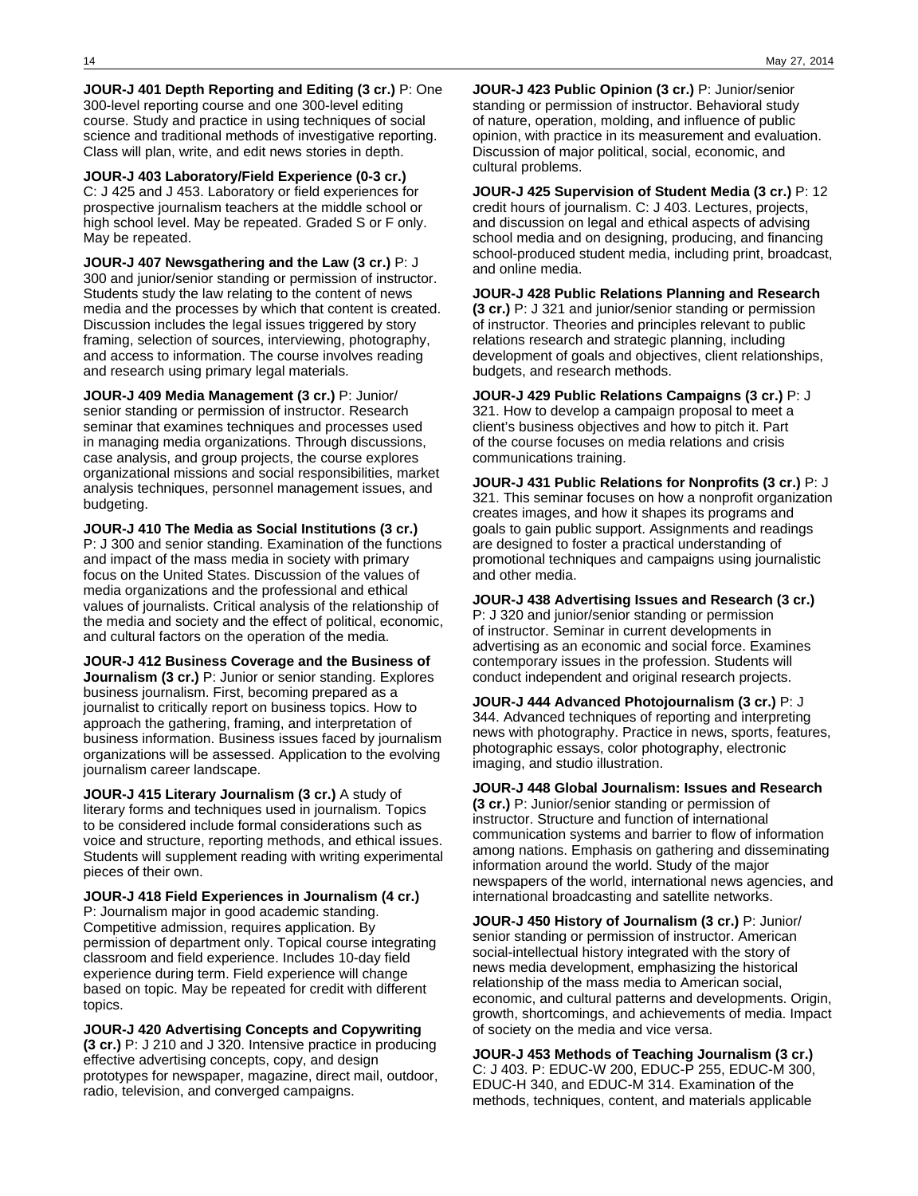**JOUR-J 401 Depth Reporting and Editing (3 cr.)** P: One 300-level reporting course and one 300-level editing course. Study and practice in using techniques of social science and traditional methods of investigative reporting. Class will plan, write, and edit news stories in depth.

**JOUR-J 403 Laboratory/Field Experience (0-3 cr.)** C: J 425 and J 453. Laboratory or field experiences for prospective journalism teachers at the middle school or high school level. May be repeated. Graded S or F only. May be repeated.

**JOUR-J 407 Newsgathering and the Law (3 cr.)** P: J 300 and junior/senior standing or permission of instructor. Students study the law relating to the content of news media and the processes by which that content is created. Discussion includes the legal issues triggered by story framing, selection of sources, interviewing, photography, and access to information. The course involves reading and research using primary legal materials.

**JOUR-J 409 Media Management (3 cr.)** P: Junior/ senior standing or permission of instructor. Research seminar that examines techniques and processes used in managing media organizations. Through discussions, case analysis, and group projects, the course explores organizational missions and social responsibilities, market analysis techniques, personnel management issues, and budgeting.

**JOUR-J 410 The Media as Social Institutions (3 cr.)** P: J 300 and senior standing. Examination of the functions and impact of the mass media in society with primary focus on the United States. Discussion of the values of media organizations and the professional and ethical values of journalists. Critical analysis of the relationship of the media and society and the effect of political, economic, and cultural factors on the operation of the media.

**JOUR-J 412 Business Coverage and the Business of Journalism (3 cr.)** P: Junior or senior standing. Explores business journalism. First, becoming prepared as a journalist to critically report on business topics. How to approach the gathering, framing, and interpretation of business information. Business issues faced by journalism organizations will be assessed. Application to the evolving journalism career landscape.

**JOUR-J 415 Literary Journalism (3 cr.)** A study of literary forms and techniques used in journalism. Topics to be considered include formal considerations such as voice and structure, reporting methods, and ethical issues. Students will supplement reading with writing experimental pieces of their own.

**JOUR-J 418 Field Experiences in Journalism (4 cr.)** P: Journalism major in good academic standing. Competitive admission, requires application. By permission of department only. Topical course integrating classroom and field experience. Includes 10-day field experience during term. Field experience will change based on topic. May be repeated for credit with different topics.

**JOUR-J 420 Advertising Concepts and Copywriting (3 cr.)** P: J 210 and J 320. Intensive practice in producing effective advertising concepts, copy, and design prototypes for newspaper, magazine, direct mail, outdoor, radio, television, and converged campaigns.

**JOUR-J 423 Public Opinion (3 cr.)** P: Junior/senior standing or permission of instructor. Behavioral study of nature, operation, molding, and influence of public opinion, with practice in its measurement and evaluation. Discussion of major political, social, economic, and cultural problems.

**JOUR-J 425 Supervision of Student Media (3 cr.)** P: 12 credit hours of journalism. C: J 403. Lectures, projects, and discussion on legal and ethical aspects of advising school media and on designing, producing, and financing school-produced student media, including print, broadcast, and online media.

**JOUR-J 428 Public Relations Planning and Research (3 cr.)** P: J 321 and junior/senior standing or permission of instructor. Theories and principles relevant to public relations research and strategic planning, including development of goals and objectives, client relationships, budgets, and research methods.

**JOUR-J 429 Public Relations Campaigns (3 cr.)** P: J 321. How to develop a campaign proposal to meet a client's business objectives and how to pitch it. Part of the course focuses on media relations and crisis communications training.

**JOUR-J 431 Public Relations for Nonprofits (3 cr.)** P: J 321. This seminar focuses on how a nonprofit organization creates images, and how it shapes its programs and goals to gain public support. Assignments and readings are designed to foster a practical understanding of promotional techniques and campaigns using journalistic and other media.

**JOUR-J 438 Advertising Issues and Research (3 cr.)** P: J 320 and junior/senior standing or permission of instructor. Seminar in current developments in advertising as an economic and social force. Examines contemporary issues in the profession. Students will conduct independent and original research projects.

**JOUR-J 444 Advanced Photojournalism (3 cr.)** P: J 344. Advanced techniques of reporting and interpreting news with photography. Practice in news, sports, features, photographic essays, color photography, electronic imaging, and studio illustration.

**JOUR-J 448 Global Journalism: Issues and Research (3 cr.)** P: Junior/senior standing or permission of instructor. Structure and function of international communication systems and barrier to flow of information among nations. Emphasis on gathering and disseminating information around the world. Study of the major newspapers of the world, international news agencies, and international broadcasting and satellite networks.

**JOUR-J 450 History of Journalism (3 cr.)** P: Junior/ senior standing or permission of instructor. American social-intellectual history integrated with the story of news media development, emphasizing the historical relationship of the mass media to American social, economic, and cultural patterns and developments. Origin, growth, shortcomings, and achievements of media. Impact of society on the media and vice versa.

**JOUR-J 453 Methods of Teaching Journalism (3 cr.)** C: J 403. P: EDUC-W 200, EDUC-P 255, EDUC-M 300, EDUC-H 340, and EDUC-M 314. Examination of the methods, techniques, content, and materials applicable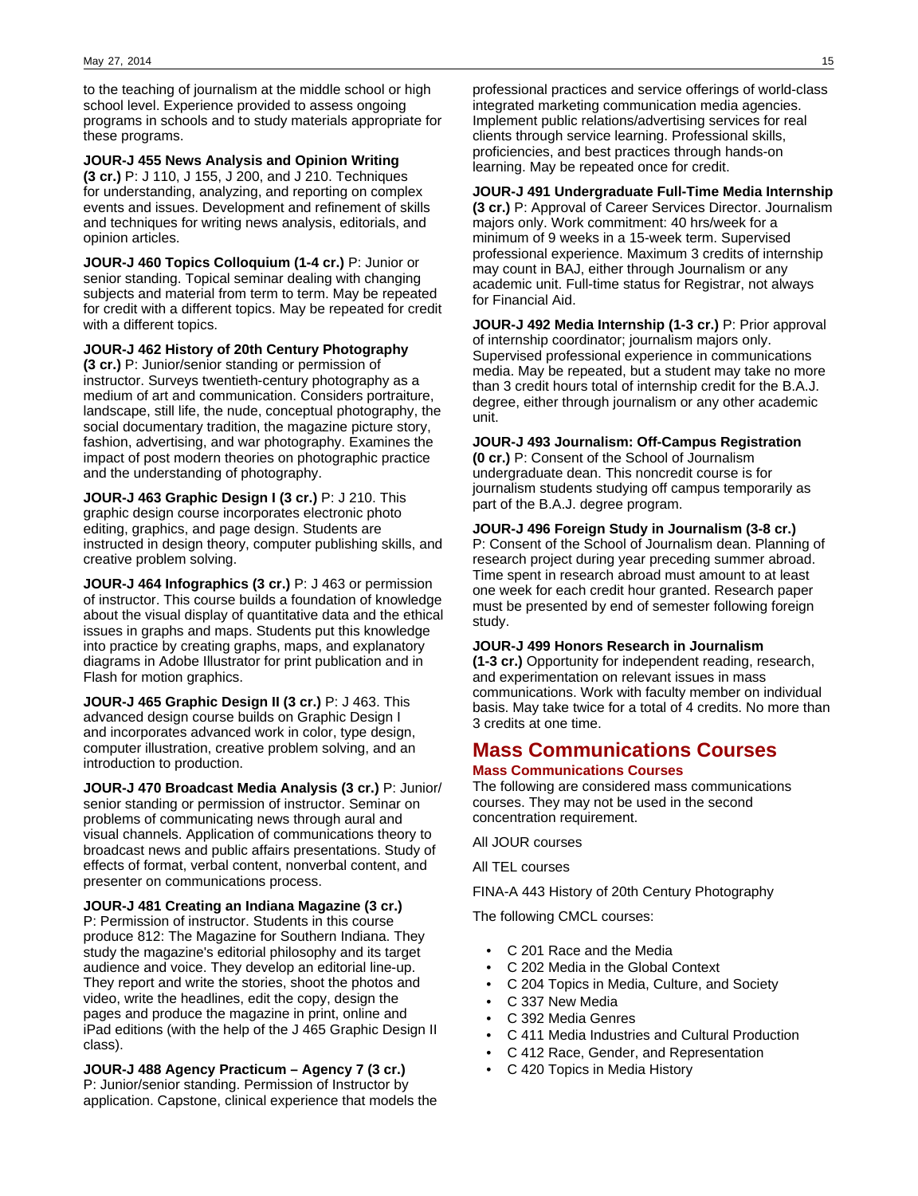to the teaching of journalism at the middle school or high school level. Experience provided to assess ongoing programs in schools and to study materials appropriate for these programs.

**JOUR-J 455 News Analysis and Opinion Writing (3 cr.)** P: J 110, J 155, J 200, and J 210. Techniques for understanding, analyzing, and reporting on complex events and issues. Development and refinement of skills and techniques for writing news analysis, editorials, and opinion articles.

**JOUR-J 460 Topics Colloquium (1-4 cr.)** P: Junior or senior standing. Topical seminar dealing with changing subjects and material from term to term. May be repeated for credit with a different topics. May be repeated for credit with a different topics.

**JOUR-J 462 History of 20th Century Photography**

**(3 cr.)** P: Junior/senior standing or permission of instructor. Surveys twentieth-century photography as a medium of art and communication. Considers portraiture, landscape, still life, the nude, conceptual photography, the social documentary tradition, the magazine picture story, fashion, advertising, and war photography. Examines the impact of post modern theories on photographic practice and the understanding of photography.

**JOUR-J 463 Graphic Design I (3 cr.)** P: J 210. This graphic design course incorporates electronic photo editing, graphics, and page design. Students are instructed in design theory, computer publishing skills, and creative problem solving.

**JOUR-J 464 Infographics (3 cr.)** P: J 463 or permission of instructor. This course builds a foundation of knowledge about the visual display of quantitative data and the ethical issues in graphs and maps. Students put this knowledge into practice by creating graphs, maps, and explanatory diagrams in Adobe Illustrator for print publication and in Flash for motion graphics.

**JOUR-J 465 Graphic Design II (3 cr.)** P: J 463. This advanced design course builds on Graphic Design I and incorporates advanced work in color, type design, computer illustration, creative problem solving, and an introduction to production.

**JOUR-J 470 Broadcast Media Analysis (3 cr.)** P: Junior/ senior standing or permission of instructor. Seminar on problems of communicating news through aural and visual channels. Application of communications theory to broadcast news and public affairs presentations. Study of effects of format, verbal content, nonverbal content, and presenter on communications process.

**JOUR-J 481 Creating an Indiana Magazine (3 cr.)** P: Permission of instructor. Students in this course produce 812: The Magazine for Southern Indiana. They study the magazine's editorial philosophy and its target audience and voice. They develop an editorial line-up. They report and write the stories, shoot the photos and video, write the headlines, edit the copy, design the pages and produce the magazine in print, online and iPad editions (with the help of the J 465 Graphic Design II class).

**JOUR-J 488 Agency Practicum – Agency 7 (3 cr.)** P: Junior/senior standing. Permission of Instructor by application. Capstone, clinical experience that models the

professional practices and service offerings of world-class integrated marketing communication media agencies. Implement public relations/advertising services for real clients through service learning. Professional skills, proficiencies, and best practices through hands-on learning. May be repeated once for credit.

**JOUR-J 491 Undergraduate Full-Time Media Internship (3 cr.)** P: Approval of Career Services Director. Journalism majors only. Work commitment: 40 hrs/week for a minimum of 9 weeks in a 15-week term. Supervised professional experience. Maximum 3 credits of internship may count in BAJ, either through Journalism or any academic unit. Full-time status for Registrar, not always for Financial Aid.

**JOUR-J 492 Media Internship (1-3 cr.)** P: Prior approval of internship coordinator; journalism majors only. Supervised professional experience in communications media. May be repeated, but a student may take no more than 3 credit hours total of internship credit for the B.A.J. degree, either through journalism or any other academic unit.

## **JOUR-J 493 Journalism: Off-Campus Registration**

**(0 cr.)** P: Consent of the School of Journalism undergraduate dean. This noncredit course is for journalism students studying off campus temporarily as part of the B.A.J. degree program.

### **JOUR-J 496 Foreign Study in Journalism (3-8 cr.)**

P: Consent of the School of Journalism dean. Planning of research project during year preceding summer abroad. Time spent in research abroad must amount to at least one week for each credit hour granted. Research paper must be presented by end of semester following foreign study.

### **JOUR-J 499 Honors Research in Journalism**

**(1-3 cr.)** Opportunity for independent reading, research, and experimentation on relevant issues in mass communications. Work with faculty member on individual basis. May take twice for a total of 4 credits. No more than 3 credits at one time.

## **Mass Communications Courses**

### **Mass Communications Courses**

The following are considered mass communications courses. They may not be used in the second concentration requirement.

All JOUR courses

All TEL courses

FINA-A 443 History of 20th Century Photography

The following CMCL courses:

- C 201 Race and the Media
- C 202 Media in the Global Context
- C 204 Topics in Media, Culture, and Society
- C 337 New Media
- C 392 Media Genres
- C 411 Media Industries and Cultural Production
- C 412 Race, Gender, and Representation
- C 420 Topics in Media History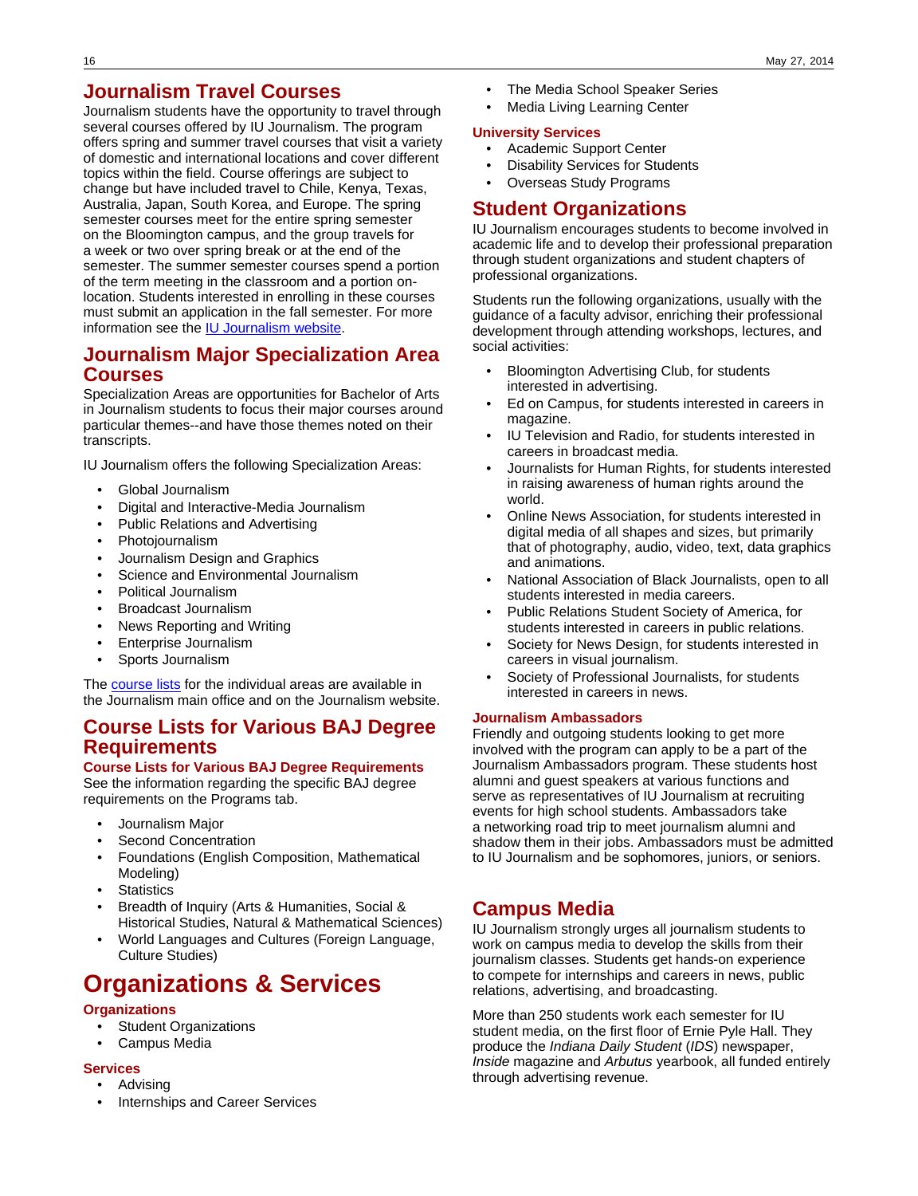# **Journalism Travel Courses**

Journalism students have the opportunity to travel through several courses offered by IU Journalism. The program offers spring and summer travel courses that visit a variety of domestic and international locations and cover different topics within the field. Course offerings are subject to change but have included travel to Chile, Kenya, Texas, Australia, Japan, South Korea, and Europe. The spring semester courses meet for the entire spring semester on the Bloomington campus, and the group travels for a week or two over spring break or at the end of the semester. The summer semester courses spend a portion of the term meeting in the classroom and a portion onlocation. Students interested in enrolling in these courses must submit an application in the fall semester. For more information see the [IU Journalism website](http://journalism.indiana.edu/journalism-experiences/travel/).

# **Journalism Major Specialization Area Courses**

Specialization Areas are opportunities for Bachelor of Arts in Journalism students to focus their major courses around particular themes--and have those themes noted on their transcripts.

IU Journalism offers the following Specialization Areas:

- Global Journalism
- Digital and Interactive-Media Journalism
- Public Relations and Advertising
- Photojournalism
- Journalism Design and Graphics
- Science and Environmental Journalism
- Political Journalism
- Broadcast Journalism
- News Reporting and Writing
- Enterprise Journalism
- Sports Journalism

The [course lists](http://journalism.indiana.edu/undergraduate/specialization-areas/) for the individual areas are available in the Journalism main office and on the Journalism website.

# **Course Lists for Various BAJ Degree Requirements**

### **Course Lists for Various BAJ Degree Requirements**

See the information regarding the specific BAJ degree requirements on the Programs tab.

- Journalism Major
- Second Concentration
- Foundations (English Composition, Mathematical Modeling)
- **Statistics**
- Breadth of Inquiry (Arts & Humanities, Social & Historical Studies, Natural & Mathematical Sciences)
- World Languages and Cultures (Foreign Language, Culture Studies)

# **Organizations & Services**

## **Organizations**

- **Student Organizations**
- Campus Media

### **Services**

- Advising
- Internships and Career Services
- The Media School Speaker Series
- Media Living Learning Center

### **University Services**

- Academic Support Center
- **Disability Services for Students**
- Overseas Study Programs

# **Student Organizations**

IU Journalism encourages students to become involved in academic life and to develop their professional preparation through student organizations and student chapters of professional organizations.

Students run the following organizations, usually with the guidance of a faculty advisor, enriching their professional development through attending workshops, lectures, and social activities:

- Bloomington Advertising Club, for students interested in advertising.
- Ed on Campus, for students interested in careers in magazine.
- IU Television and Radio, for students interested in careers in broadcast media.
- Journalists for Human Rights, for students interested in raising awareness of human rights around the world.
- Online News Association, for students interested in digital media of all shapes and sizes, but primarily that of photography, audio, video, text, data graphics and animations.
- National Association of Black Journalists, open to all students interested in media careers.
- Public Relations Student Society of America, for students interested in careers in public relations.
- Society for News Design, for students interested in careers in visual journalism.
- Society of Professional Journalists, for students interested in careers in news.

## **Journalism Ambassadors**

Friendly and outgoing students looking to get more involved with the program can apply to be a part of the Journalism Ambassadors program. These students host alumni and guest speakers at various functions and serve as representatives of IU Journalism at recruiting events for high school students. Ambassadors take a networking road trip to meet journalism alumni and shadow them in their jobs. Ambassadors must be admitted to IU Journalism and be sophomores, juniors, or seniors.

# **Campus Media**

IU Journalism strongly urges all journalism students to work on campus media to develop the skills from their journalism classes. Students get hands-on experience to compete for internships and careers in news, public relations, advertising, and broadcasting.

More than 250 students work each semester for IU student media, on the first floor of Ernie Pyle Hall. They produce the Indiana Daily Student (IDS) newspaper, Inside magazine and Arbutus yearbook, all funded entirely through advertising revenue.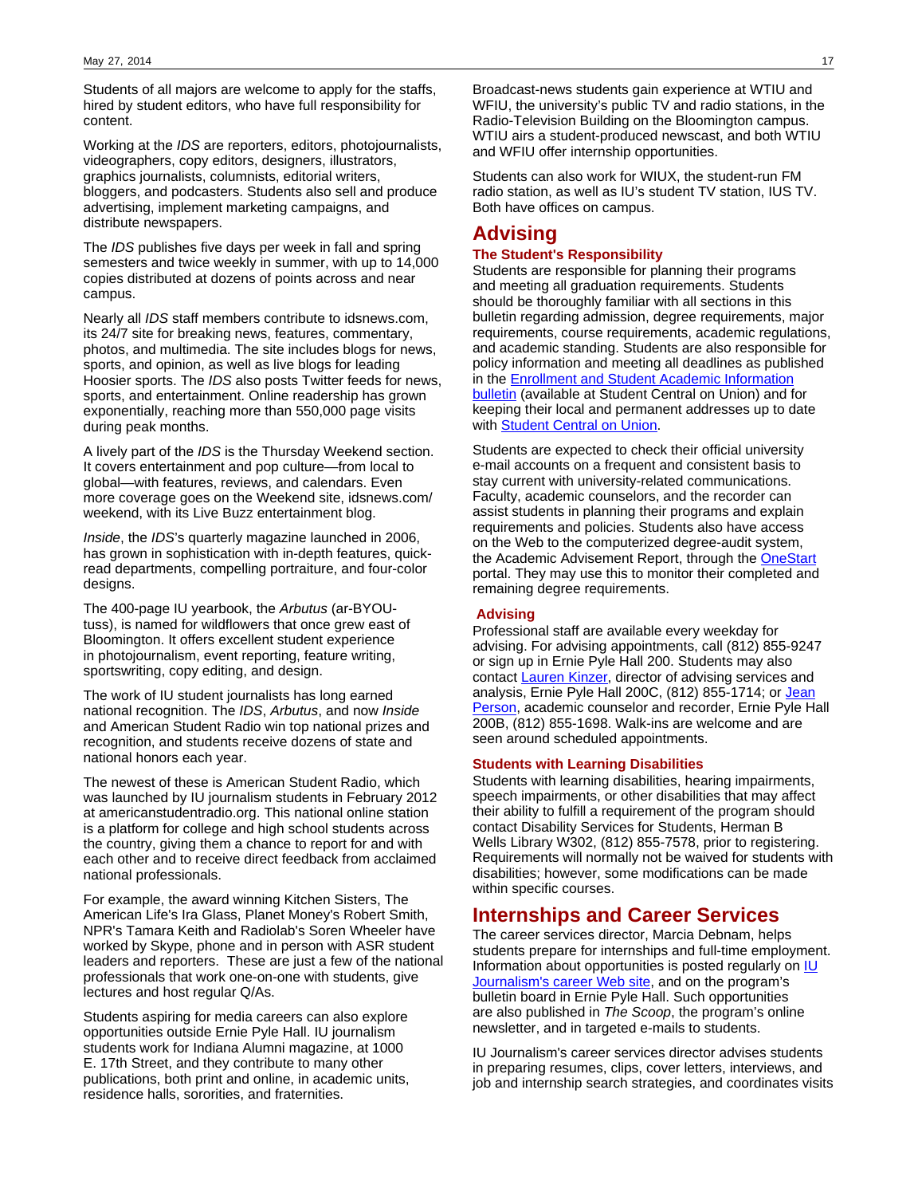Students of all majors are welcome to apply for the staffs, hired by student editors, who have full responsibility for content.

Working at the IDS are reporters, editors, photojournalists, videographers, copy editors, designers, illustrators, graphics journalists, columnists, editorial writers, bloggers, and podcasters. Students also sell and produce advertising, implement marketing campaigns, and distribute newspapers.

The IDS publishes five days per week in fall and spring semesters and twice weekly in summer, with up to 14,000 copies distributed at dozens of points across and near campus.

Nearly all IDS staff members contribute to idsnews.com, its 24/7 site for breaking news, features, commentary, photos, and multimedia. The site includes blogs for news, sports, and opinion, as well as live blogs for leading Hoosier sports. The IDS also posts Twitter feeds for news, sports, and entertainment. Online readership has grown exponentially, reaching more than 550,000 page visits during peak months.

A lively part of the IDS is the Thursday Weekend section. It covers entertainment and pop culture—from local to global—with features, reviews, and calendars. Even more coverage goes on the Weekend site, idsnews.com/ weekend, with its Live Buzz entertainment blog.

Inside, the IDS's quarterly magazine launched in 2006, has grown in sophistication with in-depth features, quickread departments, compelling portraiture, and four-color designs.

The 400-page IU yearbook, the Arbutus (ar-BYOUtuss), is named for wildflowers that once grew east of Bloomington. It offers excellent student experience in photojournalism, event reporting, feature writing, sportswriting, copy editing, and design.

The work of IU student journalists has long earned national recognition. The IDS, Arbutus, and now Inside and American Student Radio win top national prizes and recognition, and students receive dozens of state and national honors each year.

The newest of these is American Student Radio, which was launched by IU journalism students in February 2012 at americanstudentradio.org. This national online station is a platform for college and high school students across the country, giving them a chance to report for and with each other and to receive direct feedback from acclaimed national professionals.

For example, the award winning Kitchen Sisters, The American Life's Ira Glass, Planet Money's Robert Smith, NPR's Tamara Keith and Radiolab's Soren Wheeler have worked by Skype, phone and in person with ASR student leaders and reporters. These are just a few of the national professionals that work one-on-one with students, give lectures and host regular Q/As.

Students aspiring for media careers can also explore opportunities outside Ernie Pyle Hall. IU journalism students work for Indiana Alumni magazine, at 1000 E. 17th Street, and they contribute to many other publications, both print and online, in academic units, residence halls, sororities, and fraternities.

Broadcast-news students gain experience at WTIU and WFIU, the university's public TV and radio stations, in the Radio-Television Building on the Bloomington campus. WTIU airs a student-produced newscast, and both WTIU and WFIU offer internship opportunities.

Students can also work for WIUX, the student-run FM radio station, as well as IU's student TV station, IUS TV. Both have offices on campus.

# **Advising**

### **The Student's Responsibility**

Students are responsible for planning their programs and meeting all graduation requirements. Students should be thoroughly familiar with all sections in this bulletin regarding admission, degree requirements, major requirements, course requirements, academic regulations, and academic standing. Students are also responsible for policy information and meeting all deadlines as published in the [Enrollment and Student Academic Information](http://enrollmentbulletin.indiana.edu/pages/index.php?Term=1) [bulletin](http://enrollmentbulletin.indiana.edu/pages/index.php?Term=1) (available at Student Central on Union) and for keeping their local and permanent addresses up to date with **Student Central on Union**.

Students are expected to check their official university e-mail accounts on a frequent and consistent basis to stay current with university-related communications. Faculty, academic counselors, and the recorder can assist students in planning their programs and explain requirements and policies. Students also have access on the Web to the computerized degree-audit system, the Academic Advisement Report, through the [OneStart](https://onestart.iu.edu/) portal. They may use this to monitor their completed and remaining degree requirements.

### **Advising**

Professional staff are available every weekday for advising. For advising appointments, call (812) 855-9247 or sign up in Ernie Pyle Hall 200. Students may also contact [Lauren Kinzer,](mailto:lkinzer@indiana.edu) director of advising services and analysis, Ernie Pyle Hall 200C, (812) 855-1714; or [Jean](mailto:%20jperson@indiana.edu) [Person,](mailto:%20jperson@indiana.edu) academic counselor and recorder, Ernie Pyle Hall 200B, (812) 855-1698. Walk-ins are welcome and are seen around scheduled appointments.

#### **Students with Learning Disabilities**

Students with learning disabilities, hearing impairments, speech impairments, or other disabilities that may affect their ability to fulfill a requirement of the program should contact Disability Services for Students, Herman B Wells Library W302, (812) 855-7578, prior to registering. Requirements will normally not be waived for students with disabilities; however, some modifications can be made within specific courses.

## **Internships and Career Services**

The career services director, Marcia Debnam, helps students prepare for internships and full-time employment. Information about opportunities is posted regularly on  $\underline{\textsf{IU}}$  $\underline{\textsf{IU}}$  $\underline{\textsf{IU}}$ [Journalism's career Web site](http://journalism.indiana.edu/media-careers/career-matters/), and on the program's bulletin board in Ernie Pyle Hall. Such opportunities are also published in The Scoop, the program's online newsletter, and in targeted e-mails to students.

IU Journalism's career services director advises students in preparing resumes, clips, cover letters, interviews, and job and internship search strategies, and coordinates visits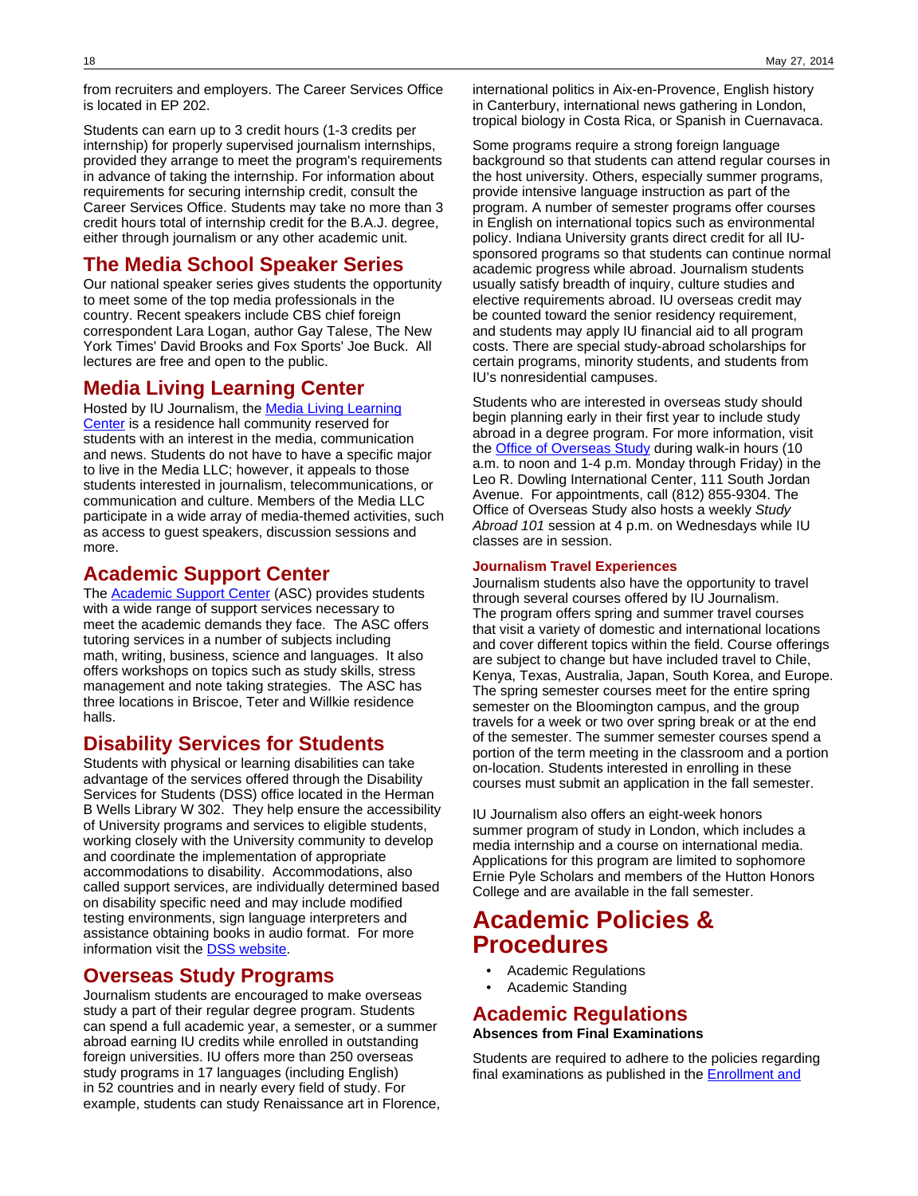from recruiters and employers. The Career Services Office is located in EP 202.

Students can earn up to 3 credit hours (1-3 credits per internship) for properly supervised journalism internships, provided they arrange to meet the program's requirements in advance of taking the internship. For information about requirements for securing internship credit, consult the Career Services Office. Students may take no more than 3 credit hours total of internship credit for the B.A.J. degree, either through journalism or any other academic unit.

# **The Media School Speaker Series**

Our national speaker series gives students the opportunity to meet some of the top media professionals in the country. Recent speakers include CBS chief foreign correspondent Lara Logan, author Gay Talese, The New York Times' David Brooks and Fox Sports' Joe Buck. All lectures are free and open to the public.

## **Media Living Learning Center**

Hosted by IU Journalism, the [Media Living Learning](http://journalism.indiana.edu/journalism-experiences/media-living-learning-center/) [Center](http://journalism.indiana.edu/journalism-experiences/media-living-learning-center/) is a residence hall community reserved for students with an interest in the media, communication and news. Students do not have to have a specific major to live in the Media LLC; however, it appeals to those students interested in journalism, telecommunications, or communication and culture. Members of the Media LLC participate in a wide array of media-themed activities, such as access to guest speakers, discussion sessions and more.

## **Academic Support Center**

The [Academic Support Center](http://www.indiana.edu/~acadsupp/ASChome.shtml) (ASC) provides students with a wide range of support services necessary to meet the academic demands they face. The ASC offers tutoring services in a number of subjects including math, writing, business, science and languages. It also offers workshops on topics such as study skills, stress management and note taking strategies. The ASC has three locations in Briscoe, Teter and Willkie residence halls.

## **Disability Services for Students**

Students with physical or learning disabilities can take advantage of the services offered through the Disability Services for Students (DSS) office located in the Herman B Wells Library W 302. They help ensure the accessibility of University programs and services to eligible students, working closely with the University community to develop and coordinate the implementation of appropriate accommodations to disability. Accommodations, also called support services, are individually determined based on disability specific need and may include modified testing environments, sign language interpreters and assistance obtaining books in audio format. For more information visit the [DSS website.](http://studentaffairs.iub.edu/dss/)

## **Overseas Study Programs**

Journalism students are encouraged to make overseas study a part of their regular degree program. Students can spend a full academic year, a semester, or a summer abroad earning IU credits while enrolled in outstanding foreign universities. IU offers more than 250 overseas study programs in 17 languages (including English) in 52 countries and in nearly every field of study. For example, students can study Renaissance art in Florence,

international politics in Aix-en-Provence, English history in Canterbury, international news gathering in London, tropical biology in Costa Rica, or Spanish in Cuernavaca.

Some programs require a strong foreign language background so that students can attend regular courses in the host university. Others, especially summer programs, provide intensive language instruction as part of the program. A number of semester programs offer courses in English on international topics such as environmental policy. Indiana University grants direct credit for all IUsponsored programs so that students can continue normal academic progress while abroad. Journalism students usually satisfy breadth of inquiry, culture studies and elective requirements abroad. IU overseas credit may be counted toward the senior residency requirement, and students may apply IU financial aid to all program costs. There are special study-abroad scholarships for certain programs, minority students, and students from IU's nonresidential campuses.

Students who are interested in overseas study should begin planning early in their first year to include study abroad in a degree program. For more information, visit the **Office of Overseas Study** during walk-in hours (10 a.m. to noon and 1-4 p.m. Monday through Friday) in the Leo R. Dowling International Center, 111 South Jordan Avenue. For appointments, call (812) 855-9304. The Office of Overseas Study also hosts a weekly Study Abroad 101 session at 4 p.m. on Wednesdays while IU classes are in session.

### **Journalism Travel Experiences**

Journalism students also have the opportunity to travel through several courses offered by IU Journalism. The program offers spring and summer travel courses that visit a variety of domestic and international locations and cover different topics within the field. Course offerings are subject to change but have included travel to Chile, Kenya, Texas, Australia, Japan, South Korea, and Europe. The spring semester courses meet for the entire spring semester on the Bloomington campus, and the group travels for a week or two over spring break or at the end of the semester. The summer semester courses spend a portion of the term meeting in the classroom and a portion on-location. Students interested in enrolling in these courses must submit an application in the fall semester.

IU Journalism also offers an eight-week honors summer program of study in London, which includes a media internship and a course on international media. Applications for this program are limited to sophomore Ernie Pyle Scholars and members of the Hutton Honors College and are available in the fall semester.

# **Academic Policies & Procedures**

- Academic Regulations
- Academic Standing

# **Academic Regulations**

**Absences from Final Examinations**

Students are required to adhere to the policies regarding final examinations as published in the **Enrollment and**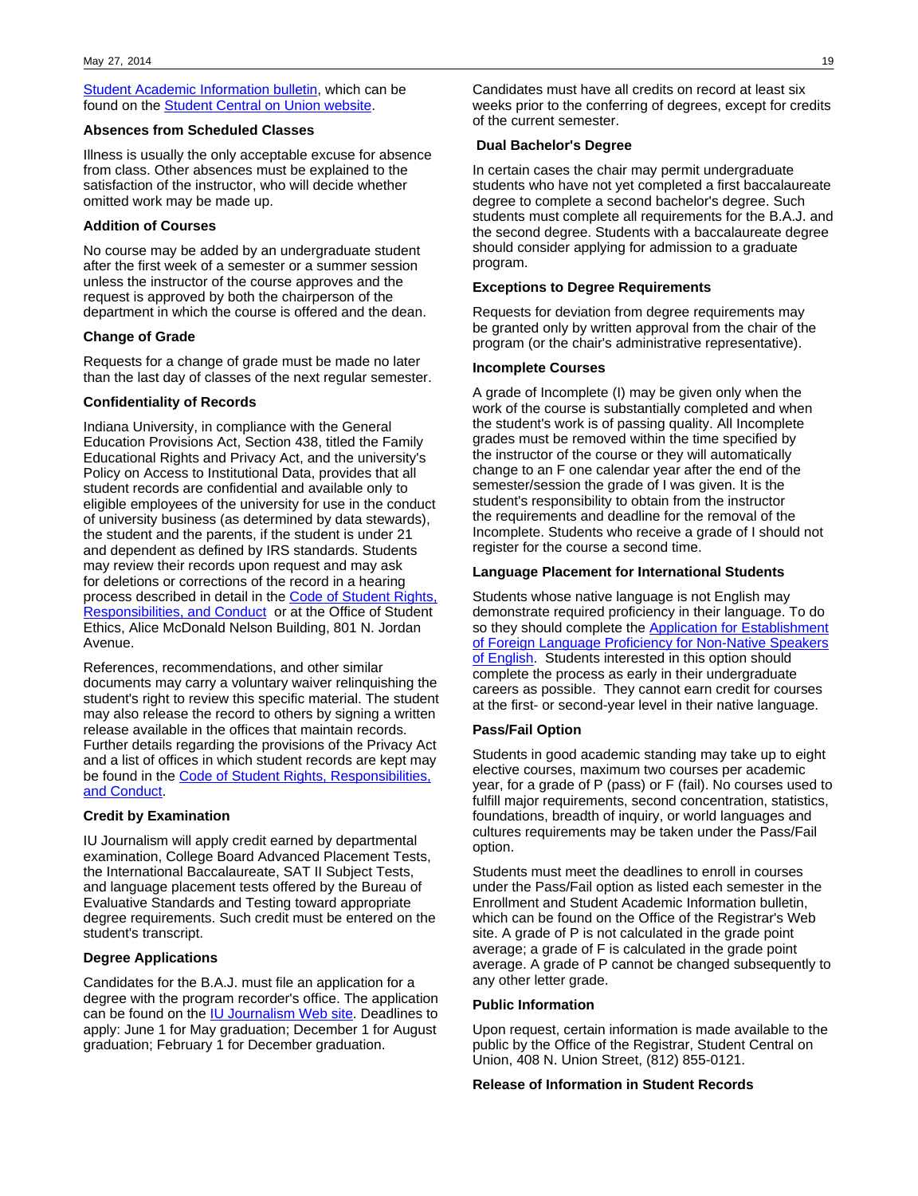**[Student Academic Information bulletin,](http://enrollmentbulletin.indiana.edu/pages/finexpol.php) which can be** found on the **Student Central on Union website**.

### **Absences from Scheduled Classes**

Illness is usually the only acceptable excuse for absence from class. Other absences must be explained to the satisfaction of the instructor, who will decide whether omitted work may be made up.

### **Addition of Courses**

No course may be added by an undergraduate student after the first week of a semester or a summer session unless the instructor of the course approves and the request is approved by both the chairperson of the department in which the course is offered and the dean.

### **Change of Grade**

Requests for a change of grade must be made no later than the last day of classes of the next regular semester.

### **Confidentiality of Records**

Indiana University, in compliance with the General Education Provisions Act, Section 438, titled the Family Educational Rights and Privacy Act, and the university's Policy on Access to Institutional Data, provides that all student records are confidential and available only to eligible employees of the university for use in the conduct of university business (as determined by data stewards), the student and the parents, if the student is under 21 and dependent as defined by IRS standards. Students may review their records upon request and may ask for deletions or corrections of the record in a hearing process described in detail in the [Code of Student Rights,](http://www.iu.edu/~code/) [Responsibilities, and Conduct](http://www.iu.edu/~code/) or at the Office of Student Ethics, Alice McDonald Nelson Building, 801 N. Jordan Avenue.

References, recommendations, and other similar documents may carry a voluntary waiver relinquishing the student's right to review this specific material. The student may also release the record to others by signing a written release available in the offices that maintain records. Further details regarding the provisions of the Privacy Act and a list of offices in which student records are kept may be found in the [Code of Student Rights, Responsibilities,](http://www.iu.edu/~code/) [and Conduct](http://www.iu.edu/~code/).

### **Credit by Examination**

IU Journalism will apply credit earned by departmental examination, College Board Advanced Placement Tests, the International Baccalaureate, SAT II Subject Tests, and language placement tests offered by the Bureau of Evaluative Standards and Testing toward appropriate degree requirements. Such credit must be entered on the student's transcript.

### **Degree Applications**

Candidates for the B.A.J. must file an application for a degree with the program recorder's office. The application can be found on the **IU Journalism Web site**. Deadlines to apply: June 1 for May graduation; December 1 for August graduation; February 1 for December graduation.

Candidates must have all credits on record at least six weeks prior to the conferring of degrees, except for credits of the current semester.

### **Dual Bachelor's Degree**

In certain cases the chair may permit undergraduate students who have not yet completed a first baccalaureate degree to complete a second bachelor's degree. Such students must complete all requirements for the B.A.J. and the second degree. Students with a baccalaureate degree should consider applying for admission to a graduate program.

### **Exceptions to Degree Requirements**

Requests for deviation from degree requirements may be granted only by written approval from the chair of the program (or the chair's administrative representative).

### **Incomplete Courses**

A grade of Incomplete (I) may be given only when the work of the course is substantially completed and when the student's work is of passing quality. All Incomplete grades must be removed within the time specified by the instructor of the course or they will automatically change to an F one calendar year after the end of the semester/session the grade of I was given. It is the student's responsibility to obtain from the instructor the requirements and deadline for the removal of the Incomplete. Students who receive a grade of I should not register for the course a second time.

### **Language Placement for International Students**

Students whose native language is not English may demonstrate required proficiency in their language. To do so they should complete the [Application for Establishment](http://college.indiana.edu/recorder/forms/ForeignLanguageProficiencyForm.pdf) [of Foreign Language Proficiency for Non-Native Speakers](http://college.indiana.edu/recorder/forms/ForeignLanguageProficiencyForm.pdf) [of English.](http://college.indiana.edu/recorder/forms/ForeignLanguageProficiencyForm.pdf) Students interested in this option should complete the process as early in their undergraduate careers as possible. They cannot earn credit for courses at the first- or second-year level in their native language.

### **Pass/Fail Option**

Students in good academic standing may take up to eight elective courses, maximum two courses per academic year, for a grade of P (pass) or F (fail). No courses used to fulfill major requirements, second concentration, statistics, foundations, breadth of inquiry, or world languages and cultures requirements may be taken under the Pass/Fail option.

Students must meet the deadlines to enroll in courses under the Pass/Fail option as listed each semester in the Enrollment and Student Academic Information bulletin, which can be found on the Office of the Registrar's Web site. A grade of P is not calculated in the grade point average; a grade of F is calculated in the grade point average. A grade of P cannot be changed subsequently to any other letter grade.

### **Public Information**

Upon request, certain information is made available to the public by the Office of the Registrar, Student Central on Union, 408 N. Union Street, (812) 855-0121.

### **Release of Information in Student Records**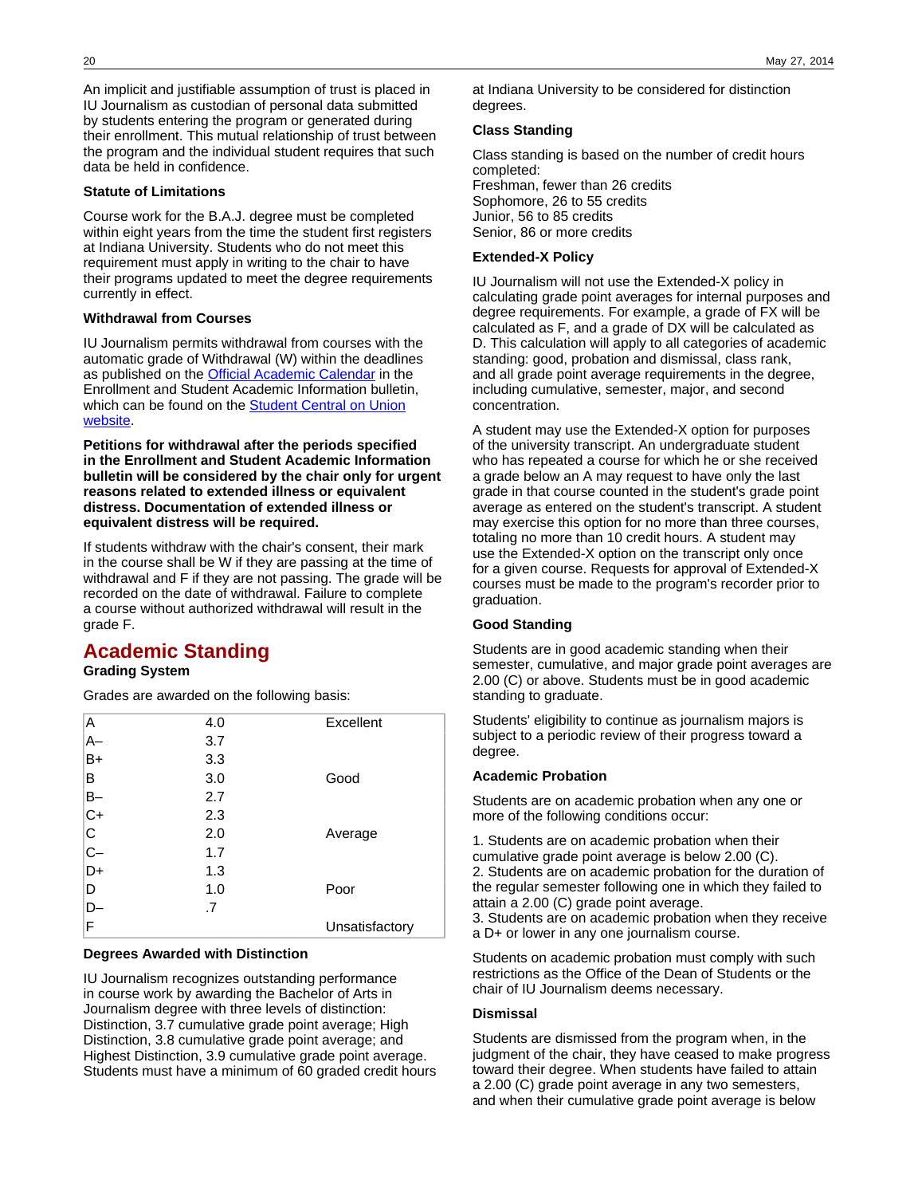An implicit and justifiable assumption of trust is placed in IU Journalism as custodian of personal data submitted by students entering the program or generated during their enrollment. This mutual relationship of trust between the program and the individual student requires that such data be held in confidence.

### **Statute of Limitations**

Course work for the B.A.J. degree must be completed within eight years from the time the student first registers at Indiana University. Students who do not meet this requirement must apply in writing to the chair to have their programs updated to meet the degree requirements currently in effect.

### **Withdrawal from Courses**

IU Journalism permits withdrawal from courses with the automatic grade of Withdrawal (W) within the deadlines as published on the [Official Academic Calendar](http://enrollmentbulletin.indiana.edu/pages/offcal.php) in the Enrollment and Student Academic Information bulletin, which can be found on the **[Student Central on Union](http://studentcentral.indiana.edu/register/register-classes/calendars.shtml)** [website.](http://studentcentral.indiana.edu/register/register-classes/calendars.shtml)

**Petitions for withdrawal after the periods specified in the Enrollment and Student Academic Information bulletin will be considered by the chair only for urgent reasons related to extended illness or equivalent distress. Documentation of extended illness or equivalent distress will be required.**

If students withdraw with the chair's consent, their mark in the course shall be W if they are passing at the time of withdrawal and F if they are not passing. The grade will be recorded on the date of withdrawal. Failure to complete a course without authorized withdrawal will result in the grade F.

# **Academic Standing**

## **Grading System**

Grades are awarded on the following basis:

| Α           | 4.0 | Excellent      |
|-------------|-----|----------------|
| $A-$        | 3.7 |                |
| B+          | 3.3 |                |
| B           | 3.0 | Good           |
| $B -$       | 2.7 |                |
| $C+$        | 2.3 |                |
| $\mathsf C$ | 2.0 | Average        |
| $C-$        | 1.7 |                |
| D+          | 1.3 |                |
| D           | 1.0 | Poor           |
| D-          | .7  |                |
| F           |     | Unsatisfactory |

## **Degrees Awarded with Distinction**

IU Journalism recognizes outstanding performance in course work by awarding the Bachelor of Arts in Journalism degree with three levels of distinction: Distinction, 3.7 cumulative grade point average; High Distinction, 3.8 cumulative grade point average; and Highest Distinction, 3.9 cumulative grade point average. Students must have a minimum of 60 graded credit hours

at Indiana University to be considered for distinction degrees.

### **Class Standing**

Class standing is based on the number of credit hours completed: Freshman, fewer than 26 credits Sophomore, 26 to 55 credits Junior, 56 to 85 credits Senior, 86 or more credits

### **Extended-X Policy**

IU Journalism will not use the Extended-X policy in calculating grade point averages for internal purposes and degree requirements. For example, a grade of FX will be calculated as F, and a grade of DX will be calculated as D. This calculation will apply to all categories of academic standing: good, probation and dismissal, class rank, and all grade point average requirements in the degree, including cumulative, semester, major, and second concentration.

A student may use the Extended-X option for purposes of the university transcript. An undergraduate student who has repeated a course for which he or she received a grade below an A may request to have only the last grade in that course counted in the student's grade point average as entered on the student's transcript. A student may exercise this option for no more than three courses, totaling no more than 10 credit hours. A student may use the Extended-X option on the transcript only once for a given course. Requests for approval of Extended-X courses must be made to the program's recorder prior to graduation.

### **Good Standing**

Students are in good academic standing when their semester, cumulative, and major grade point averages are 2.00 (C) or above. Students must be in good academic standing to graduate.

Students' eligibility to continue as journalism majors is subject to a periodic review of their progress toward a degree.

### **Academic Probation**

Students are on academic probation when any one or more of the following conditions occur:

1. Students are on academic probation when their cumulative grade point average is below 2.00 (C). 2. Students are on academic probation for the duration of the regular semester following one in which they failed to attain a 2.00 (C) grade point average. 3. Students are on academic probation when they receive a D+ or lower in any one journalism course.

Students on academic probation must comply with such restrictions as the Office of the Dean of Students or the chair of IU Journalism deems necessary.

### **Dismissal**

Students are dismissed from the program when, in the judgment of the chair, they have ceased to make progress toward their degree. When students have failed to attain a 2.00 (C) grade point average in any two semesters, and when their cumulative grade point average is below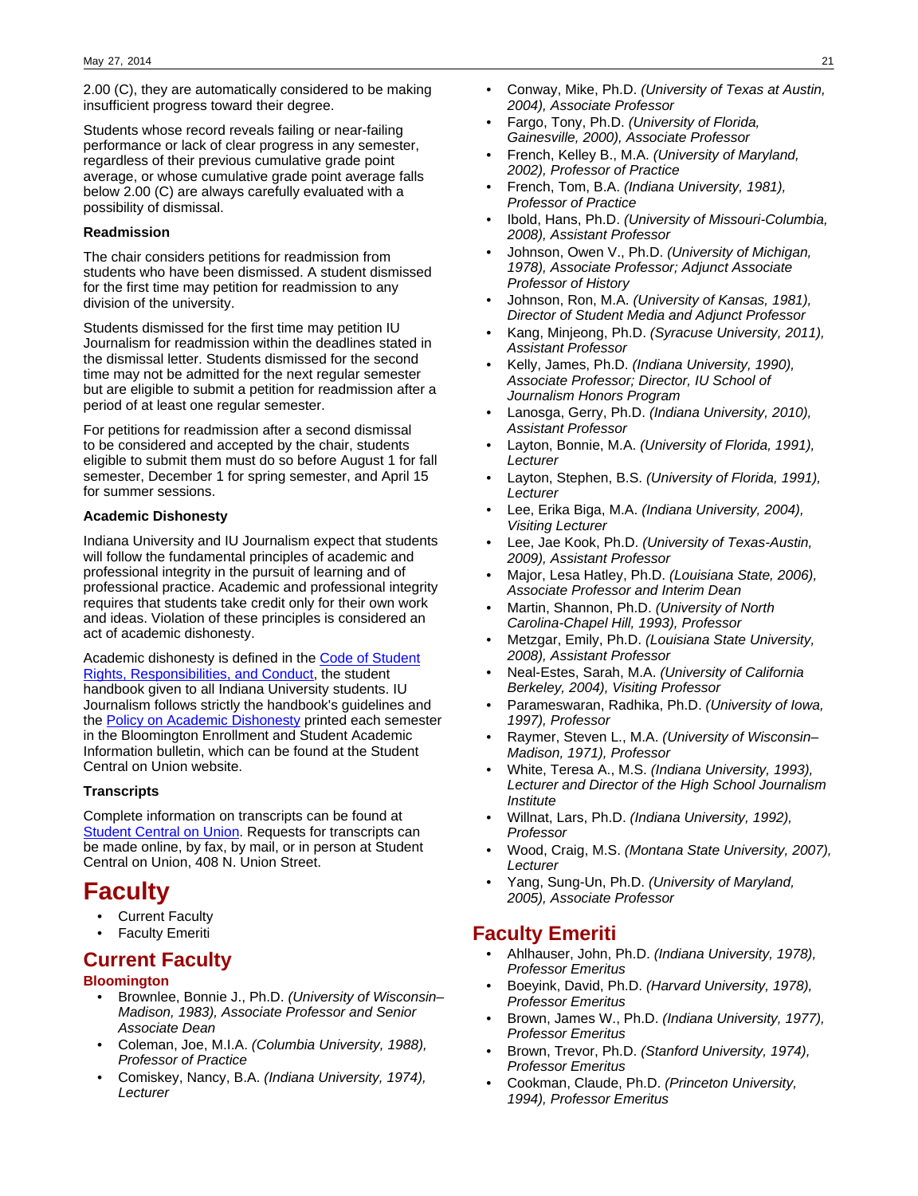2.00 (C), they are automatically considered to be making insufficient progress toward their degree.

Students whose record reveals failing or near-failing performance or lack of clear progress in any semester, regardless of their previous cumulative grade point average, or whose cumulative grade point average falls below 2.00 (C) are always carefully evaluated with a possibility of dismissal.

### **Readmission**

The chair considers petitions for readmission from students who have been dismissed. A student dismissed for the first time may petition for readmission to any division of the university.

Students dismissed for the first time may petition IU Journalism for readmission within the deadlines stated in the dismissal letter. Students dismissed for the second time may not be admitted for the next regular semester but are eligible to submit a petition for readmission after a period of at least one regular semester.

For petitions for readmission after a second dismissal to be considered and accepted by the chair, students eligible to submit them must do so before August 1 for fall semester, December 1 for spring semester, and April 15 for summer sessions.

### **Academic Dishonesty**

Indiana University and IU Journalism expect that students will follow the fundamental principles of academic and professional integrity in the pursuit of learning and of professional practice. Academic and professional integrity requires that students take credit only for their own work and ideas. Violation of these principles is considered an act of academic dishonesty.

Academic dishonesty is defined in the [Code of Student](http://www.iu.edu/~code/) [Rights, Responsibilities, and Conduct](http://www.iu.edu/~code/), the student handbook given to all Indiana University students. IU Journalism follows strictly the handbook's guidelines and the [Policy on Academic Dishonesty](http://enrollmentbulletin.indiana.edu/pages/misconduct.php?Term=1) printed each semester in the Bloomington Enrollment and Student Academic Information bulletin, which can be found at the Student Central on Union website.

## **Transcripts**

Complete information on transcripts can be found at **[Student Central on Union](http://studentcentral.indiana.edu/register/documents/transcript.shtml). Requests for transcripts can** be made online, by fax, by mail, or in person at Student Central on Union, 408 N. Union Street.

# **Faculty**

- Current Faculty
- Faculty Emeriti

# **Current Faculty**

### **Bloomington**

- Brownlee, Bonnie J., Ph.D. (University of Wisconsin-Madison, 1983), Associate Professor and Senior Associate Dean
- Coleman, Joe, M.I.A. (Columbia University, 1988), Professor of Practice
- Comiskey, Nancy, B.A. (Indiana University, 1974), Lecturer
- Conway, Mike, Ph.D. (University of Texas at Austin, 2004), Associate Professor
- Fargo, Tony, Ph.D. (University of Florida, Gainesville, 2000), Associate Professor
- French, Kelley B., M.A. (University of Maryland, 2002), Professor of Practice
- French, Tom, B.A. (Indiana University, 1981), Professor of Practice
- Ibold, Hans, Ph.D. (University of Missouri-Columbia, 2008), Assistant Professor
- Johnson, Owen V., Ph.D. (University of Michigan, 1978), Associate Professor; Adjunct Associate Professor of History
- Johnson, Ron, M.A. (University of Kansas, 1981), Director of Student Media and Adjunct Professor
- Kang, Minjeong, Ph.D. (Syracuse University, 2011), Assistant Professor
- Kelly, James, Ph.D. (Indiana University, 1990), Associate Professor; Director, IU School of Journalism Honors Program
- Lanosga, Gerry, Ph.D. (Indiana University, 2010), Assistant Professor
- Layton, Bonnie, M.A. (University of Florida, 1991), Lecturer
- Layton, Stephen, B.S. (University of Florida, 1991), Lecturer
- Lee, Erika Biga, M.A. (Indiana University, 2004), Visiting Lecturer
- Lee, Jae Kook, Ph.D. (University of Texas-Austin, 2009), Assistant Professor
- Major, Lesa Hatley, Ph.D. (Louisiana State, 2006), Associate Professor and Interim Dean
- Martin, Shannon, Ph.D. (University of North Carolina-Chapel Hill, 1993), Professor
- Metzgar, Emily, Ph.D. (Louisiana State University, 2008), Assistant Professor
- Neal-Estes, Sarah, M.A. (University of California Berkeley, 2004), Visiting Professor
- Parameswaran, Radhika, Ph.D. (University of Iowa, 1997), Professor
- Raymer, Steven L., M.A. (University of Wisconsin– Madison, 1971), Professor
- White, Teresa A., M.S. (Indiana University, 1993), Lecturer and Director of the High School Journalism **Institute**
- Willnat, Lars, Ph.D. (Indiana University, 1992), Professor
- Wood, Craig, M.S. (Montana State University, 2007), Lecturer
- Yang, Sung-Un, Ph.D. (University of Maryland, 2005), Associate Professor

# **Faculty Emeriti**

- Ahlhauser, John, Ph.D. (Indiana University, 1978), Professor Emeritus
- Boeyink, David, Ph.D. (Harvard University, 1978), Professor Emeritus
- Brown, James W., Ph.D. (Indiana University, 1977), Professor Emeritus
- Brown, Trevor, Ph.D. (Stanford University, 1974), Professor Emeritus
- Cookman, Claude, Ph.D. (Princeton University, 1994), Professor Emeritus